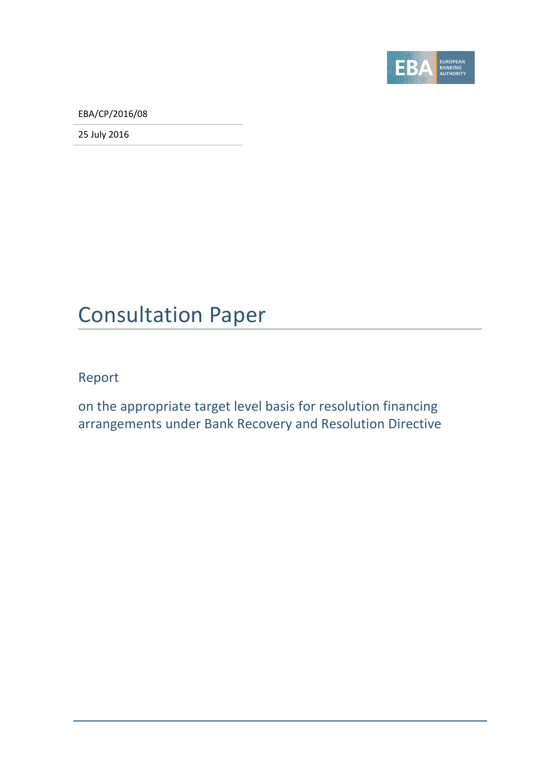

EBA/CP/2016/08

25 July 2016

### Consultation Paper

Report

on the appropriate target level basis for resolution financing arrangements under Bank Recovery and Resolution Directive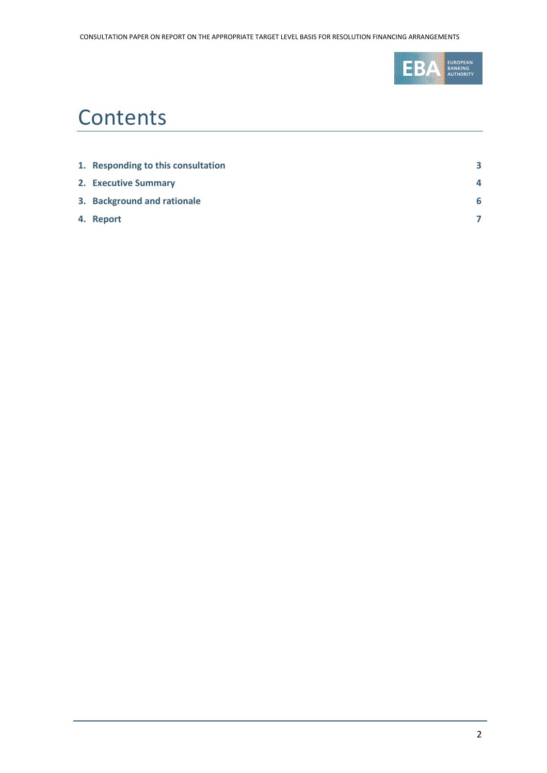

# **Contents**

| 1. Responding to this consultation | 3 |
|------------------------------------|---|
| 2. Executive Summary               |   |
| 3. Background and rationale        | 6 |
| 4. Report                          |   |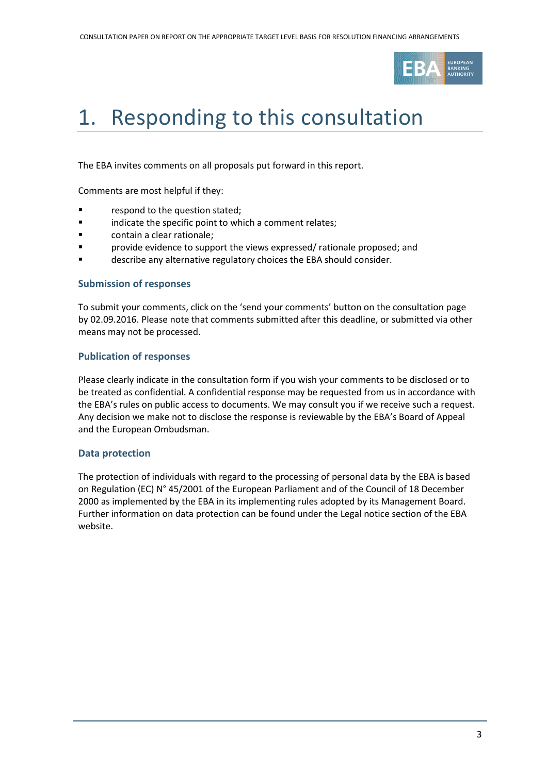

# <span id="page-2-0"></span>1. Responding to this consultation

The EBA invites comments on all proposals put forward in this report.

Comments are most helpful if they:

- **Falle 1** respond to the question stated;
- **Example 3** indicate the specific point to which a comment relates;
- **Example 3** contain a clear rationale;
- provide evidence to support the views expressed/ rationale proposed; and
- describe any alternative regulatory choices the EBA should consider.

#### **Submission of responses**

To submit your comments, click on the 'send your comments' button on the consultation page by 02.09.2016. Please note that comments submitted after this deadline, or submitted via other means may not be processed.

#### **Publication of responses**

Please clearly indicate in the consultation form if you wish your comments to be disclosed or to be treated as confidential. A confidential response may be requested from us in accordance with the EBA's rules on public access to documents. We may consult you if we receive such a request. Any decision we make not to disclose the response is reviewable by the EBA's Board of Appeal and the European Ombudsman.

#### **Data protection**

The protection of individuals with regard to the processing of personal data by the EBA is based on Regulation (EC) N° 45/2001 of the European Parliament and of the Council of 18 December 2000 as implemented by the EBA in its implementing rules adopted by its Management Board. Further information on data protection can be found under the [Legal notice section](http://eba.europa.eu/legal-notice) of the EBA website.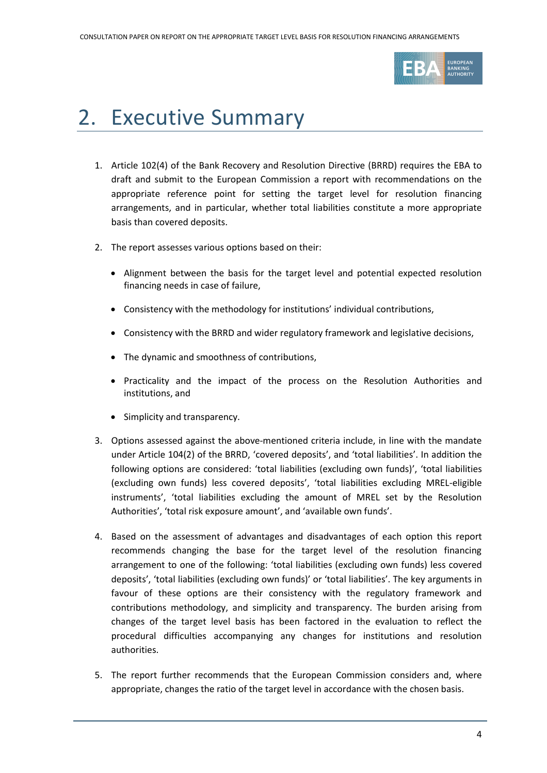

# <span id="page-3-0"></span>2. Executive Summary

- 1. Article 102(4) of the Bank Recovery and Resolution Directive (BRRD) requires the EBA to draft and submit to the European Commission a report with recommendations on the appropriate reference point for setting the target level for resolution financing arrangements, and in particular, whether total liabilities constitute a more appropriate basis than covered deposits.
- 2. The report assesses various options based on their:
	- Alignment between the basis for the target level and potential expected resolution financing needs in case of failure,
	- Consistency with the methodology for institutions' individual contributions,
	- Consistency with the BRRD and wider regulatory framework and legislative decisions,
	- The dynamic and smoothness of contributions,
	- Practicality and the impact of the process on the Resolution Authorities and institutions, and
	- Simplicity and transparency.
- 3. Options assessed against the above-mentioned criteria include, in line with the mandate under Article 104(2) of the BRRD, 'covered deposits', and 'total liabilities'. In addition the following options are considered: 'total liabilities (excluding own funds)', 'total liabilities (excluding own funds) less covered deposits', 'total liabilities excluding MREL-eligible instruments', 'total liabilities excluding the amount of MREL set by the Resolution Authorities', 'total risk exposure amount', and 'available own funds'.
- 4. Based on the assessment of advantages and disadvantages of each option this report recommends changing the base for the target level of the resolution financing arrangement to one of the following: 'total liabilities (excluding own funds) less covered deposits', 'total liabilities (excluding own funds)' or 'total liabilities'. The key arguments in favour of these options are their consistency with the regulatory framework and contributions methodology, and simplicity and transparency. The burden arising from changes of the target level basis has been factored in the evaluation to reflect the procedural difficulties accompanying any changes for institutions and resolution authorities.
- 5. The report further recommends that the European Commission considers and, where appropriate, changes the ratio of the target level in accordance with the chosen basis.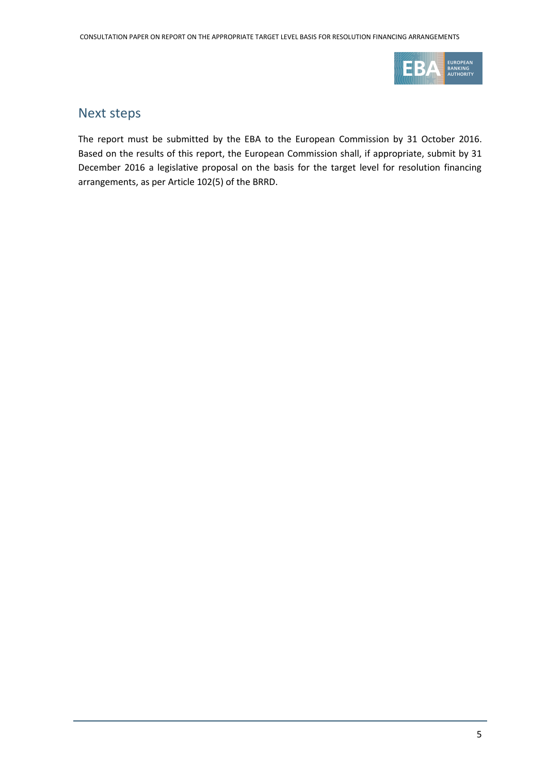

### Next steps

The report must be submitted by the EBA to the European Commission by 31 October 2016. Based on the results of this report, the European Commission shall, if appropriate, submit by 31 December 2016 a legislative proposal on the basis for the target level for resolution financing arrangements, as per Article 102(5) of the BRRD.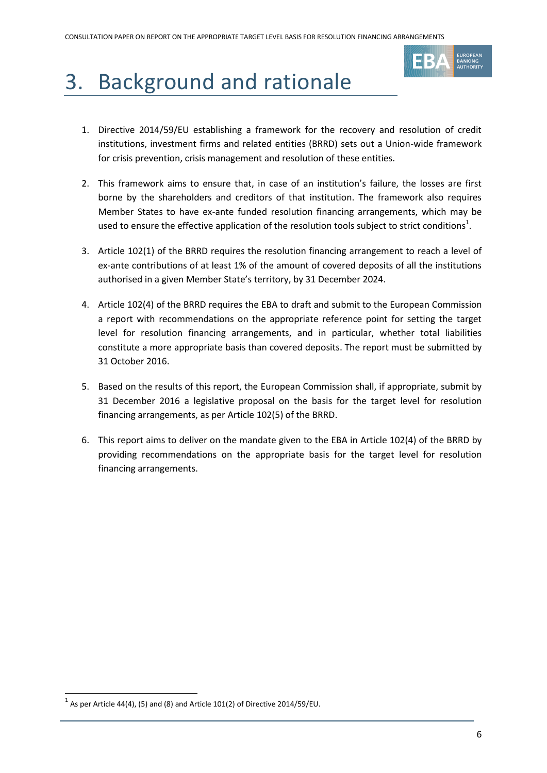

# <span id="page-5-0"></span>3. Background and rationale

- 1. Directive 2014/59/EU establishing a framework for the recovery and resolution of credit institutions, investment firms and related entities (BRRD) sets out a Union-wide framework for crisis prevention, crisis management and resolution of these entities.
- 2. This framework aims to ensure that, in case of an institution's failure, the losses are first borne by the shareholders and creditors of that institution. The framework also requires Member States to have ex-ante funded resolution financing arrangements, which may be used to ensure the effective application of the resolution tools subject to strict conditions<sup>1</sup>.
- 3. Article 102(1) of the BRRD requires the resolution financing arrangement to reach a level of ex-ante contributions of at least 1% of the amount of covered deposits of all the institutions authorised in a given Member State's territory, by 31 December 2024.
- 4. Article 102(4) of the BRRD requires the EBA to draft and submit to the European Commission a report with recommendations on the appropriate reference point for setting the target level for resolution financing arrangements, and in particular, whether total liabilities constitute a more appropriate basis than covered deposits. The report must be submitted by 31 October 2016.
- 5. Based on the results of this report, the European Commission shall, if appropriate, submit by 31 December 2016 a legislative proposal on the basis for the target level for resolution financing arrangements, as per Article 102(5) of the BRRD.
- 6. This report aims to deliver on the mandate given to the EBA in Article 102(4) of the BRRD by providing recommendations on the appropriate basis for the target level for resolution financing arrangements.

.

 $^1$  As per Article 44(4), (5) and (8) and Article 101(2) of Directive 2014/59/EU.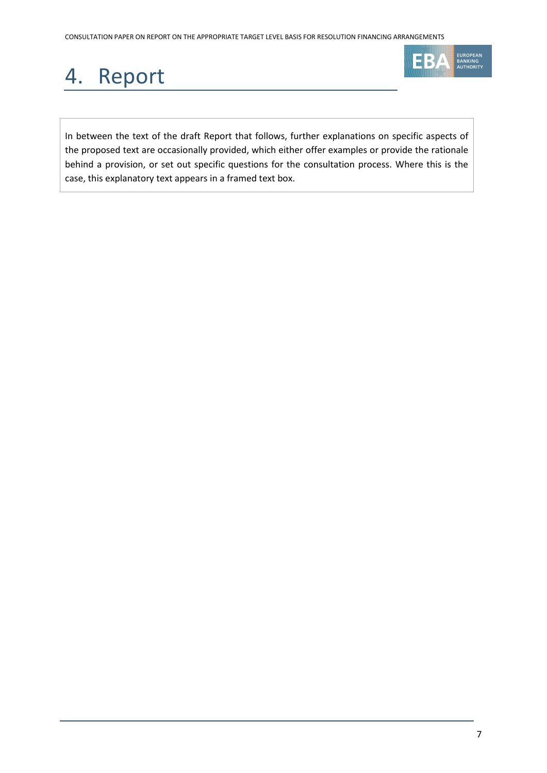# <span id="page-6-0"></span>4. Report



In between the text of the draft Report that follows, further explanations on specific aspects of the proposed text are occasionally provided, which either offer examples or provide the rationale behind a provision, or set out specific questions for the consultation process. Where this is the case, this explanatory text appears in a framed text box.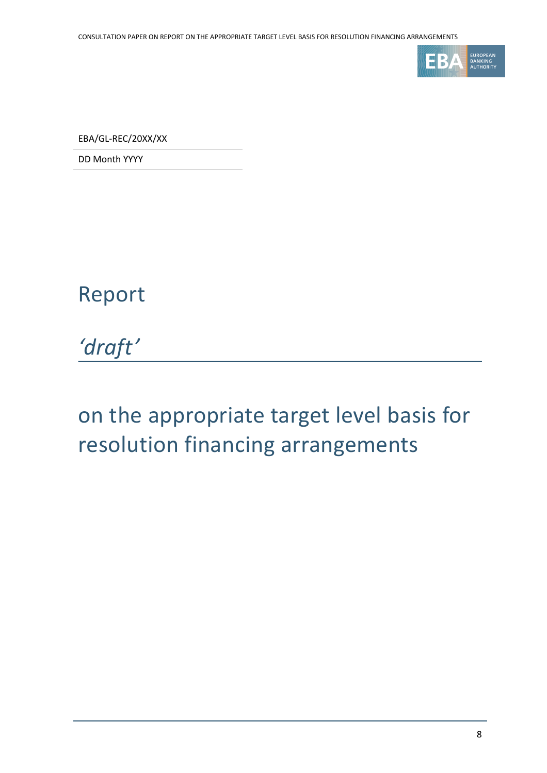

EBA/GL-REC/20XX/XX

DD Month YYYY

### Report

*'draft'*

# on the appropriate target level basis for resolution financing arrangements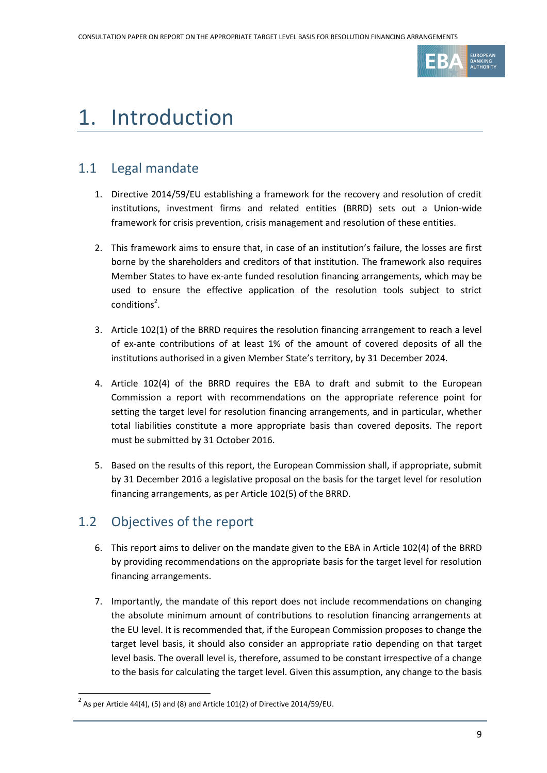

## 1. Introduction

### 1.1 Legal mandate

- 1. Directive 2014/59/EU establishing a framework for the recovery and resolution of credit institutions, investment firms and related entities (BRRD) sets out a Union-wide framework for crisis prevention, crisis management and resolution of these entities.
- 2. This framework aims to ensure that, in case of an institution's failure, the losses are first borne by the shareholders and creditors of that institution. The framework also requires Member States to have ex-ante funded resolution financing arrangements, which may be used to ensure the effective application of the resolution tools subject to strict conditions<sup>2</sup>.
- 3. Article 102(1) of the BRRD requires the resolution financing arrangement to reach a level of ex-ante contributions of at least 1% of the amount of covered deposits of all the institutions authorised in a given Member State's territory, by 31 December 2024.
- 4. Article 102(4) of the BRRD requires the EBA to draft and submit to the European Commission a report with recommendations on the appropriate reference point for setting the target level for resolution financing arrangements, and in particular, whether total liabilities constitute a more appropriate basis than covered deposits. The report must be submitted by 31 October 2016.
- 5. Based on the results of this report, the European Commission shall, if appropriate, submit by 31 December 2016 a legislative proposal on the basis for the target level for resolution financing arrangements, as per Article 102(5) of the BRRD.

### 1.2 Objectives of the report

1

- 6. This report aims to deliver on the mandate given to the EBA in Article 102(4) of the BRRD by providing recommendations on the appropriate basis for the target level for resolution financing arrangements.
- 7. Importantly, the mandate of this report does not include recommendations on changing the absolute minimum amount of contributions to resolution financing arrangements at the EU level. It is recommended that, if the European Commission proposes to change the target level basis, it should also consider an appropriate ratio depending on that target level basis. The overall level is, therefore, assumed to be constant irrespective of a change to the basis for calculating the target level. Given this assumption, any change to the basis

<sup>&</sup>lt;sup>2</sup> As per Article 44(4), (5) and (8) and Article 101(2) of Directive 2014/59/EU.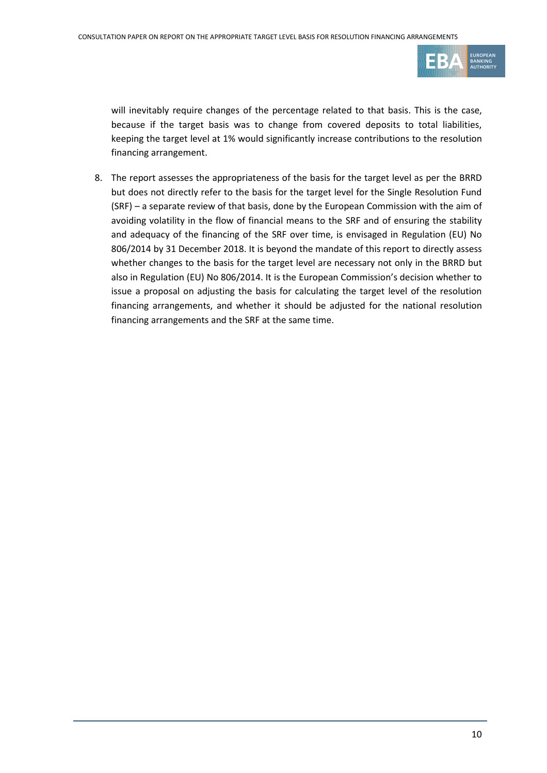

will inevitably require changes of the percentage related to that basis. This is the case, because if the target basis was to change from covered deposits to total liabilities, keeping the target level at 1% would significantly increase contributions to the resolution financing arrangement.

8. The report assesses the appropriateness of the basis for the target level as per the BRRD but does not directly refer to the basis for the target level for the Single Resolution Fund (SRF) – a separate review of that basis, done by the European Commission with the aim of avoiding volatility in the flow of financial means to the SRF and of ensuring the stability and adequacy of the financing of the SRF over time, is envisaged in Regulation (EU) No 806/2014 by 31 December 2018. It is beyond the mandate of this report to directly assess whether changes to the basis for the target level are necessary not only in the BRRD but also in Regulation (EU) No 806/2014. It is the European Commission's decision whether to issue a proposal on adjusting the basis for calculating the target level of the resolution financing arrangements, and whether it should be adjusted for the national resolution financing arrangements and the SRF at the same time.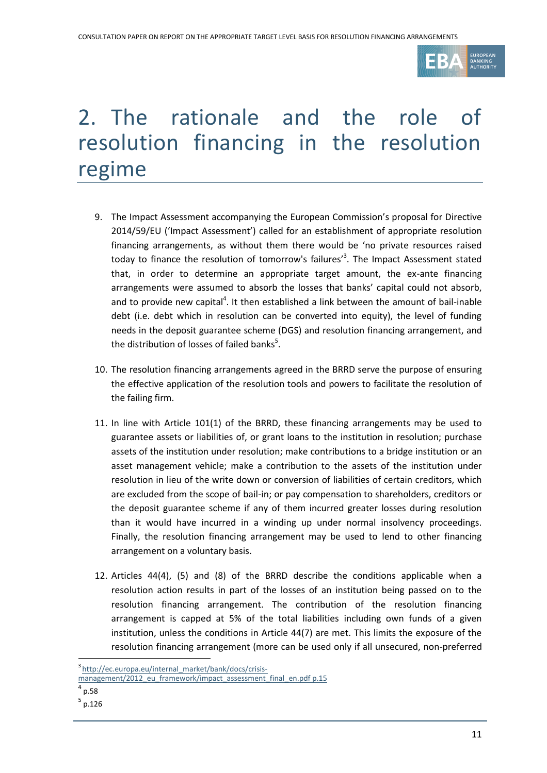

# 2. The rationale and the role of resolution financing in the resolution regime

- 9. The Impact Assessment accompanying the European Commission's proposal for Directive 2014/59/EU ('Impact Assessment') called for an establishment of appropriate resolution financing arrangements, as without them there would be 'no private resources raised today to finance the resolution of tomorrow's failures'<sup>3</sup>. The Impact Assessment stated that, in order to determine an appropriate target amount, the ex-ante financing arrangements were assumed to absorb the losses that banks' capital could not absorb, and to provide new capital<sup>4</sup>. It then established a link between the amount of bail-inable debt (i.e. debt which in resolution can be converted into equity), the level of funding needs in the deposit guarantee scheme (DGS) and resolution financing arrangement, and the distribution of losses of failed banks $^5$ .
- 10. The resolution financing arrangements agreed in the BRRD serve the purpose of ensuring the effective application of the resolution tools and powers to facilitate the resolution of the failing firm.
- 11. In line with Article 101(1) of the BRRD, these financing arrangements may be used to guarantee assets or liabilities of, or grant loans to the institution in resolution; purchase assets of the institution under resolution; make contributions to a bridge institution or an asset management vehicle; make a contribution to the assets of the institution under resolution in lieu of the write down or conversion of liabilities of certain creditors, which are excluded from the scope of bail-in; or pay compensation to shareholders, creditors or the deposit guarantee scheme if any of them incurred greater losses during resolution than it would have incurred in a winding up under normal insolvency proceedings. Finally, the resolution financing arrangement may be used to lend to other financing arrangement on a voluntary basis.
- 12. Articles 44(4), (5) and (8) of the BRRD describe the conditions applicable when a resolution action results in part of the losses of an institution being passed on to the resolution financing arrangement. The contribution of the resolution financing arrangement is capped at 5% of the total liabilities including own funds of a given institution, unless the conditions in Article 44(7) are met. This limits the exposure of the resolution financing arrangement (more can be used only if all unsecured, non-preferred

1

<sup>&</sup>lt;sup>3</sup>[http://ec.europa.eu/internal\\_market/bank/docs/crisis-](http://ec.europa.eu/internal_market/bank/docs/crisis-management/2012_eu_framework/impact_assessment_final_en.pdf)

[management/2012\\_eu\\_framework/impact\\_assessment\\_final\\_en.pdf](http://ec.europa.eu/internal_market/bank/docs/crisis-management/2012_eu_framework/impact_assessment_final_en.pdf) p.15

 $^{4}$  p.58

<sup>5</sup> p.126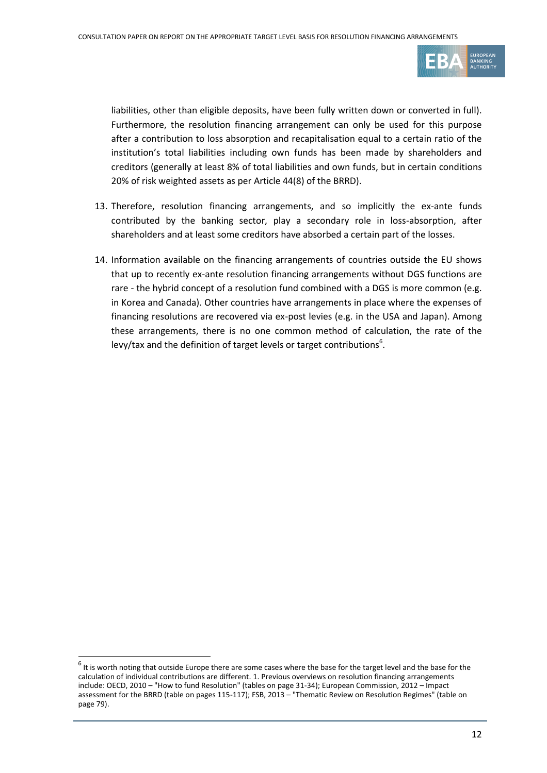

liabilities, other than eligible deposits, have been fully written down or converted in full). Furthermore, the resolution financing arrangement can only be used for this purpose after a contribution to loss absorption and recapitalisation equal to a certain ratio of the institution's total liabilities including own funds has been made by shareholders and creditors (generally at least 8% of total liabilities and own funds, but in certain conditions 20% of risk weighted assets as per Article 44(8) of the BRRD).

- 13. Therefore, resolution financing arrangements, and so implicitly the ex-ante funds contributed by the banking sector, play a secondary role in loss-absorption, after shareholders and at least some creditors have absorbed a certain part of the losses.
- 14. Information available on the financing arrangements of countries outside the EU shows that up to recently ex-ante resolution financing arrangements without DGS functions are rare - the hybrid concept of a resolution fund combined with a DGS is more common (e.g. in Korea and Canada). Other countries have arrangements in place where the expenses of financing resolutions are recovered via ex-post levies (e.g. in the USA and Japan). Among these arrangements, there is no one common method of calculation, the rate of the levy/tax and the definition of target levels or target contributions $6$ .

1

 $^6$  It is worth noting that outside Europe there are some cases where the base for the target level and the base for the calculation of individual contributions are different. 1. Previous overviews on resolution financing arrangements include: OECD, 2010 – "How to fund Resolution" (tables on page 31-34); European Commission, 2012 – Impact assessment for the BRRD (table on pages 115-117); FSB, 2013 – "Thematic Review on Resolution Regimes" (table on page 79).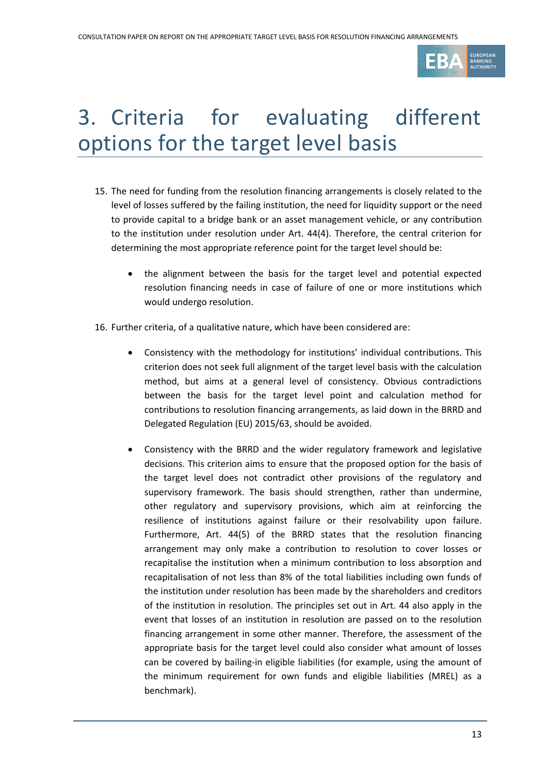

# 3. Criteria for evaluating different options for the target level basis

- 15. The need for funding from the resolution financing arrangements is closely related to the level of losses suffered by the failing institution, the need for liquidity support or the need to provide capital to a bridge bank or an asset management vehicle, or any contribution to the institution under resolution under Art. 44(4). Therefore, the central criterion for determining the most appropriate reference point for the target level should be:
	- the alignment between the basis for the target level and potential expected resolution financing needs in case of failure of one or more institutions which would undergo resolution.
- 16. Further criteria, of a qualitative nature, which have been considered are:
	- Consistency with the methodology for institutions' individual contributions. This criterion does not seek full alignment of the target level basis with the calculation method, but aims at a general level of consistency. Obvious contradictions between the basis for the target level point and calculation method for contributions to resolution financing arrangements, as laid down in the BRRD and Delegated Regulation (EU) 2015/63, should be avoided.
	- Consistency with the BRRD and the wider regulatory framework and legislative decisions. This criterion aims to ensure that the proposed option for the basis of the target level does not contradict other provisions of the regulatory and supervisory framework. The basis should strengthen, rather than undermine, other regulatory and supervisory provisions, which aim at reinforcing the resilience of institutions against failure or their resolvability upon failure. Furthermore, Art. 44(5) of the BRRD states that the resolution financing arrangement may only make a contribution to resolution to cover losses or recapitalise the institution when a minimum contribution to loss absorption and recapitalisation of not less than 8% of the total liabilities including own funds of the institution under resolution has been made by the shareholders and creditors of the institution in resolution. The principles set out in Art. 44 also apply in the event that losses of an institution in resolution are passed on to the resolution financing arrangement in some other manner. Therefore, the assessment of the appropriate basis for the target level could also consider what amount of losses can be covered by bailing-in eligible liabilities (for example, using the amount of the minimum requirement for own funds and eligible liabilities (MREL) as a benchmark).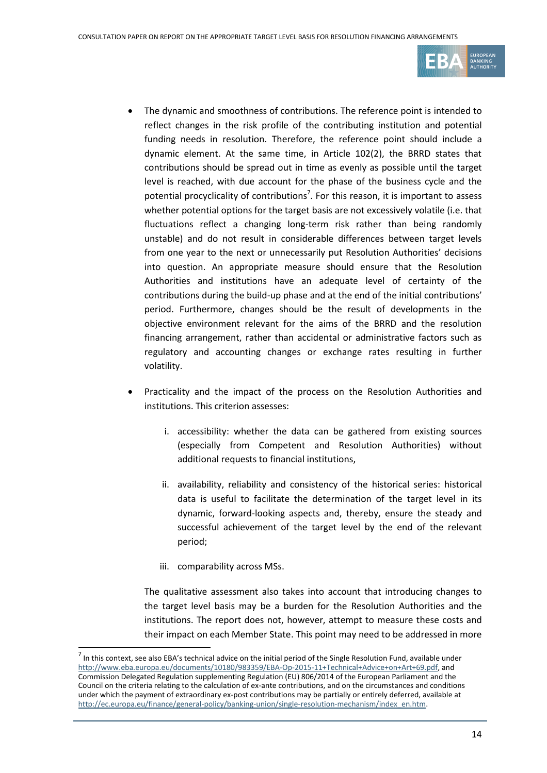

- The dynamic and smoothness of contributions. The reference point is intended to reflect changes in the risk profile of the contributing institution and potential funding needs in resolution. Therefore, the reference point should include a dynamic element. At the same time, in Article 102(2), the BRRD states that contributions should be spread out in time as evenly as possible until the target level is reached, with due account for the phase of the business cycle and the potential procyclicality of contributions<sup>7</sup>. For this reason, it is important to assess whether potential options for the target basis are not excessively volatile (i.e. that fluctuations reflect a changing long-term risk rather than being randomly unstable) and do not result in considerable differences between target levels from one year to the next or unnecessarily put Resolution Authorities' decisions into question. An appropriate measure should ensure that the Resolution Authorities and institutions have an adequate level of certainty of the contributions during the build-up phase and at the end of the initial contributions' period. Furthermore, changes should be the result of developments in the objective environment relevant for the aims of the BRRD and the resolution financing arrangement, rather than accidental or administrative factors such as regulatory and accounting changes or exchange rates resulting in further volatility.
- Practicality and the impact of the process on the Resolution Authorities and institutions. This criterion assesses:
	- i. accessibility: whether the data can be gathered from existing sources (especially from Competent and Resolution Authorities) without additional requests to financial institutions,
	- ii. availability, reliability and consistency of the historical series: historical data is useful to facilitate the determination of the target level in its dynamic, forward-looking aspects and, thereby, ensure the steady and successful achievement of the target level by the end of the relevant period;
	- iii. comparability across MSs.

1

The qualitative assessment also takes into account that introducing changes to the target level basis may be a burden for the Resolution Authorities and the institutions. The report does not, however, attempt to measure these costs and their impact on each Member State. This point may need to be addressed in more

 $^7$  In this context, see also EBA's technical advice on the initial period of the Single Resolution Fund, available under [http://www.eba.europa.eu/documents/10180/983359/EBA-Op-2015-11+Technical+Advice+on+Art+69.pdf,](http://www.eba.europa.eu/documents/10180/983359/EBA-Op-2015-11+Technical+Advice+on+Art+69.pdf) and Commission Delegated Regulation supplementing Regulation (EU) 806/2014 of the European Parliament and the Council on the criteria relating to the calculation of ex-ante contributions, and on the circumstances and conditions under which the payment of extraordinary ex-post contributions may be partially or entirely deferred, available at [http://ec.europa.eu/finance/general-policy/banking-union/single-resolution-mechanism/index\\_en.htm.](http://ec.europa.eu/finance/general-policy/banking-union/single-resolution-mechanism/index_en.htm)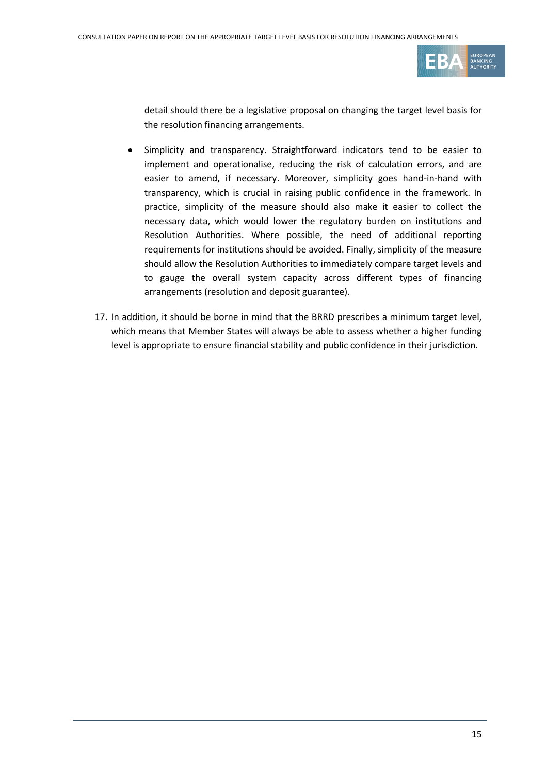

detail should there be a legislative proposal on changing the target level basis for the resolution financing arrangements.

- Simplicity and transparency. Straightforward indicators tend to be easier to implement and operationalise, reducing the risk of calculation errors, and are easier to amend, if necessary. Moreover, simplicity goes hand-in-hand with transparency, which is crucial in raising public confidence in the framework. In practice, simplicity of the measure should also make it easier to collect the necessary data, which would lower the regulatory burden on institutions and Resolution Authorities. Where possible, the need of additional reporting requirements for institutions should be avoided. Finally, simplicity of the measure should allow the Resolution Authorities to immediately compare target levels and to gauge the overall system capacity across different types of financing arrangements (resolution and deposit guarantee).
- 17. In addition, it should be borne in mind that the BRRD prescribes a minimum target level, which means that Member States will always be able to assess whether a higher funding level is appropriate to ensure financial stability and public confidence in their jurisdiction.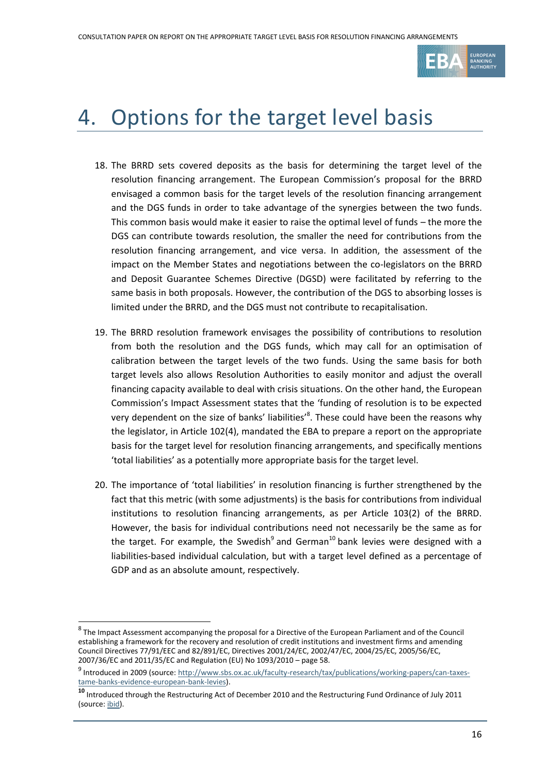

# 4. Options for the target level basis

- 18. The BRRD sets covered deposits as the basis for determining the target level of the resolution financing arrangement. The European Commission's proposal for the BRRD envisaged a common basis for the target levels of the resolution financing arrangement and the DGS funds in order to take advantage of the synergies between the two funds. This common basis would make it easier to raise the optimal level of funds – the more the DGS can contribute towards resolution, the smaller the need for contributions from the resolution financing arrangement, and vice versa. In addition, the assessment of the impact on the Member States and negotiations between the co-legislators on the BRRD and Deposit Guarantee Schemes Directive (DGSD) were facilitated by referring to the same basis in both proposals. However, the contribution of the DGS to absorbing losses is limited under the BRRD, and the DGS must not contribute to recapitalisation.
- 19. The BRRD resolution framework envisages the possibility of contributions to resolution from both the resolution and the DGS funds, which may call for an optimisation of calibration between the target levels of the two funds. Using the same basis for both target levels also allows Resolution Authorities to easily monitor and adjust the overall financing capacity available to deal with crisis situations. On the other hand, the European Commission's Impact Assessment states that the 'funding of resolution is to be expected very dependent on the size of banks' liabilities'<sup>8</sup>. These could have been the reasons why the legislator, in Article 102(4), mandated the EBA to prepare a report on the appropriate basis for the target level for resolution financing arrangements, and specifically mentions 'total liabilities' as a potentially more appropriate basis for the target level.
- 20. The importance of 'total liabilities' in resolution financing is further strengthened by the fact that this metric (with some adjustments) is the basis for contributions from individual institutions to resolution financing arrangements, as per Article 103(2) of the BRRD. However, the basis for individual contributions need not necessarily be the same as for the target. For example, the Swedish<sup>9</sup> and German<sup>10</sup> bank levies were designed with a liabilities-based individual calculation, but with a target level defined as a percentage of GDP and as an absolute amount, respectively.

f

<sup>&</sup>lt;sup>8</sup> The Impact Assessment accompanying the proposal for a Directive of the European Parliament and of the Council establishing a framework for the recovery and resolution of credit institutions and investment firms and amending Council Directives 77/91/EEC and 82/891/EC, Directives 2001/24/EC, 2002/47/EC, 2004/25/EC, 2005/56/EC, 2007/36/EC and 2011/35/EC and Regulation (EU) No 1093/2010 – page 58.

<sup>&</sup>lt;sup>9</sup> Introduced in 2009 (source[: http://www.sbs.ox.ac.uk/faculty-research/tax/publications/working-papers/can-taxes](http://www.sbs.ox.ac.uk/faculty-research/tax/publications/working-papers/can-taxes-tame-banks-evidence-european-bank-levies)[tame-banks-evidence-european-bank-levies\)](http://www.sbs.ox.ac.uk/faculty-research/tax/publications/working-papers/can-taxes-tame-banks-evidence-european-bank-levies).

**<sup>10</sup>** Introduced through the Restructuring Act of December 2010 and the Restructuring Fund Ordinance of July 2011 (source[: ibid\)](http://www.sbs.ox.ac.uk/faculty-research/tax/publications/working-papers/can-taxes-tame-banks-evidence-european-bank-levies).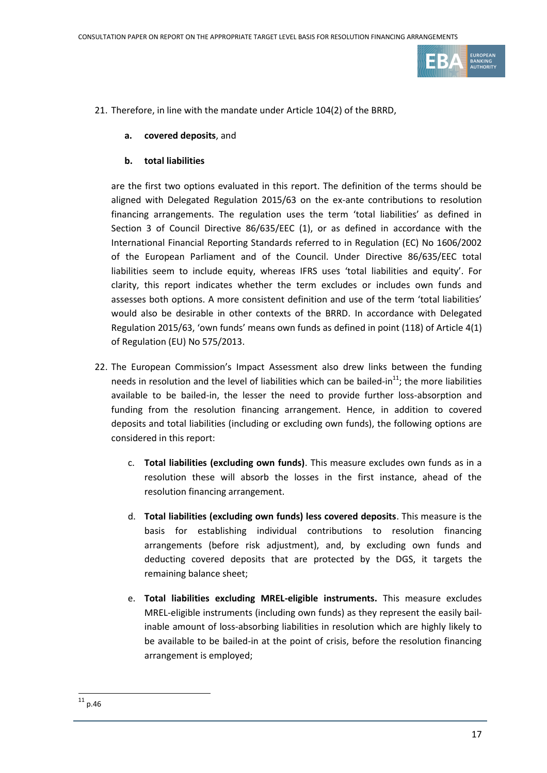

- 21. Therefore, in line with the mandate under Article 104(2) of the BRRD,
	- **a. covered deposits**, and
	- **b. total liabilities**

are the first two options evaluated in this report. The definition of the terms should be aligned with Delegated Regulation 2015/63 on the ex-ante contributions to resolution financing arrangements. The regulation uses the term 'total liabilities' as defined in Section 3 of Council Directive 86/635/EEC (1), or as defined in accordance with the International Financial Reporting Standards referred to in Regulation (EC) No 1606/2002 of the European Parliament and of the Council. Under Directive 86/635/EEC total liabilities seem to include equity, whereas IFRS uses 'total liabilities and equity'. For clarity, this report indicates whether the term excludes or includes own funds and assesses both options. A more consistent definition and use of the term 'total liabilities' would also be desirable in other contexts of the BRRD. In accordance with Delegated Regulation 2015/63, 'own funds' means own funds as defined in point (118) of Article 4(1) of Regulation (EU) No 575/2013.

- 22. The European Commission's Impact Assessment also drew links between the funding needs in resolution and the level of liabilities which can be bailed-in $^{11}$ ; the more liabilities available to be bailed-in, the lesser the need to provide further loss-absorption and funding from the resolution financing arrangement. Hence, in addition to covered deposits and total liabilities (including or excluding own funds), the following options are considered in this report:
	- c. **Total liabilities (excluding own funds)**. This measure excludes own funds as in a resolution these will absorb the losses in the first instance, ahead of the resolution financing arrangement.
	- d. **Total liabilities (excluding own funds) less covered deposits**. This measure is the basis for establishing individual contributions to resolution financing arrangements (before risk adjustment), and, by excluding own funds and deducting covered deposits that are protected by the DGS, it targets the remaining balance sheet;
	- e. **Total liabilities excluding MREL-eligible instruments.** This measure excludes MREL-eligible instruments (including own funds) as they represent the easily bailinable amount of loss-absorbing liabilities in resolution which are highly likely to be available to be bailed-in at the point of crisis, before the resolution financing arrangement is employed;

1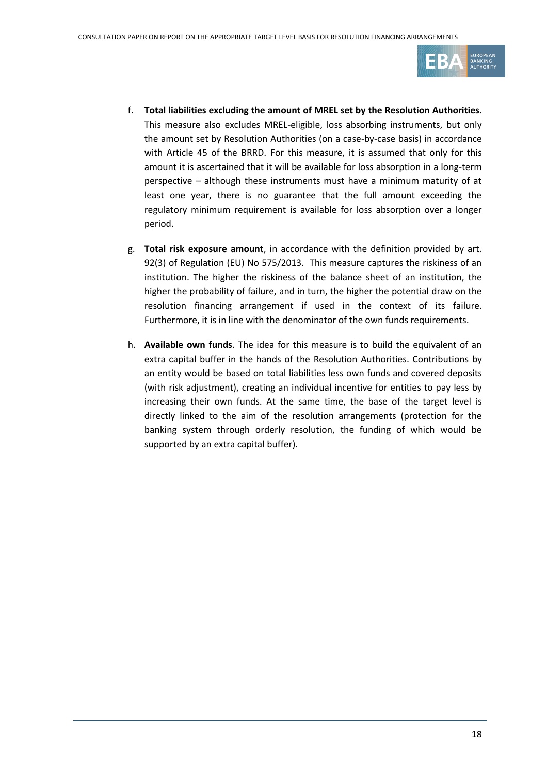

- f. **Total liabilities excluding the amount of MREL set by the Resolution Authorities**. This measure also excludes MREL-eligible, loss absorbing instruments, but only the amount set by Resolution Authorities (on a case-by-case basis) in accordance with Article 45 of the BRRD. For this measure, it is assumed that only for this amount it is ascertained that it will be available for loss absorption in a long-term perspective – although these instruments must have a minimum maturity of at least one year, there is no guarantee that the full amount exceeding the regulatory minimum requirement is available for loss absorption over a longer period.
- g. **Total risk exposure amount**, in accordance with the definition provided by art. 92(3) of Regulation (EU) No 575/2013. This measure captures the riskiness of an institution. The higher the riskiness of the balance sheet of an institution, the higher the probability of failure, and in turn, the higher the potential draw on the resolution financing arrangement if used in the context of its failure. Furthermore, it is in line with the denominator of the own funds requirements.
- h. **Available own funds**. The idea for this measure is to build the equivalent of an extra capital buffer in the hands of the Resolution Authorities. Contributions by an entity would be based on total liabilities less own funds and covered deposits (with risk adjustment), creating an individual incentive for entities to pay less by increasing their own funds. At the same time, the base of the target level is directly linked to the aim of the resolution arrangements (protection for the banking system through orderly resolution, the funding of which would be supported by an extra capital buffer).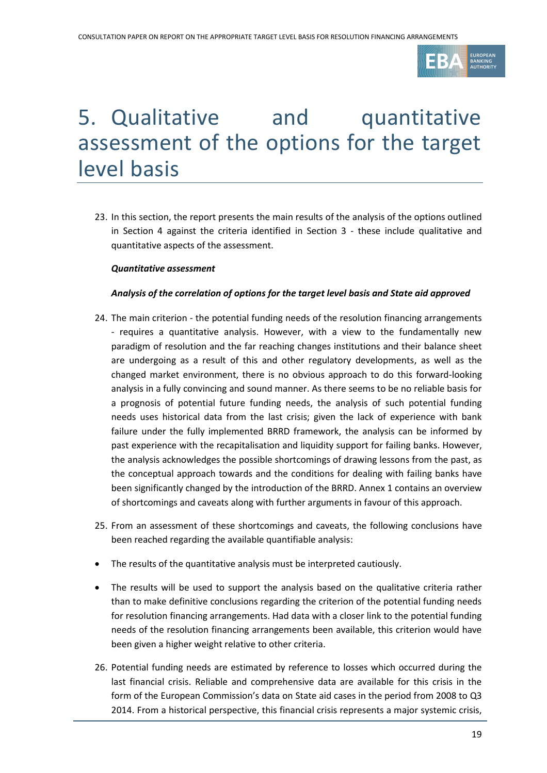

## 5. Qualitative and quantitative assessment of the options for the target level basis

23. In this section, the report presents the main results of the analysis of the options outlined in Section 4 against the criteria identified in Section 3 - these include qualitative and quantitative aspects of the assessment.

#### *Quantitative assessment*

#### *Analysis of the correlation of options for the target level basis and State aid approved*

- 24. The main criterion the potential funding needs of the resolution financing arrangements - requires a quantitative analysis. However, with a view to the fundamentally new paradigm of resolution and the far reaching changes institutions and their balance sheet are undergoing as a result of this and other regulatory developments, as well as the changed market environment, there is no obvious approach to do this forward-looking analysis in a fully convincing and sound manner. As there seems to be no reliable basis for a prognosis of potential future funding needs, the analysis of such potential funding needs uses historical data from the last crisis; given the lack of experience with bank failure under the fully implemented BRRD framework, the analysis can be informed by past experience with the recapitalisation and liquidity support for failing banks. However, the analysis acknowledges the possible shortcomings of drawing lessons from the past, as the conceptual approach towards and the conditions for dealing with failing banks have been significantly changed by the introduction of the BRRD. Annex 1 contains an overview of shortcomings and caveats along with further arguments in favour of this approach.
- 25. From an assessment of these shortcomings and caveats, the following conclusions have been reached regarding the available quantifiable analysis:
- The results of the quantitative analysis must be interpreted cautiously.
- The results will be used to support the analysis based on the qualitative criteria rather than to make definitive conclusions regarding the criterion of the potential funding needs for resolution financing arrangements. Had data with a closer link to the potential funding needs of the resolution financing arrangements been available, this criterion would have been given a higher weight relative to other criteria.
- 26. Potential funding needs are estimated by reference to losses which occurred during the last financial crisis. Reliable and comprehensive data are available for this crisis in the form of the European Commission's data on State aid cases in the period from 2008 to Q3 2014. From a historical perspective, this financial crisis represents a major systemic crisis,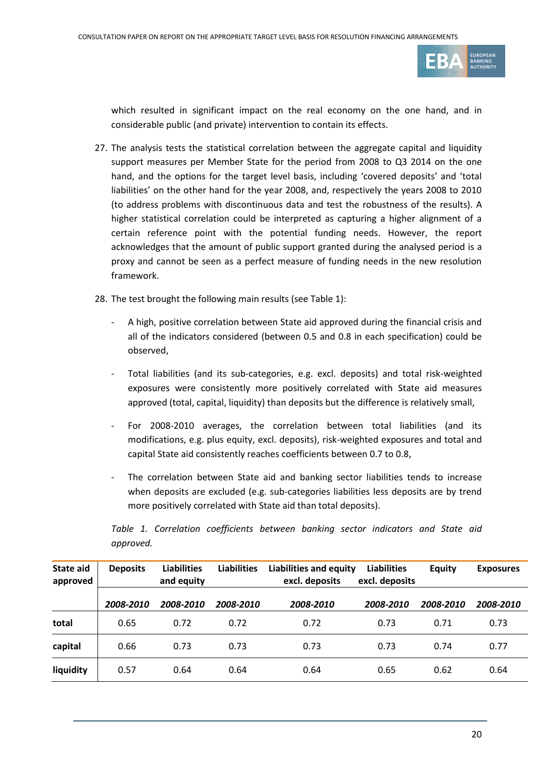

which resulted in significant impact on the real economy on the one hand, and in considerable public (and private) intervention to contain its effects.

- 27. The analysis tests the statistical correlation between the aggregate capital and liquidity support measures per Member State for the period from 2008 to Q3 2014 on the one hand, and the options for the target level basis, including 'covered deposits' and 'total liabilities' on the other hand for the year 2008, and, respectively the years 2008 to 2010 (to address problems with discontinuous data and test the robustness of the results). A higher statistical correlation could be interpreted as capturing a higher alignment of a certain reference point with the potential funding needs. However, the report acknowledges that the amount of public support granted during the analysed period is a proxy and cannot be seen as a perfect measure of funding needs in the new resolution framework.
- 28. The test brought the following main results (see Table 1):
	- A high, positive correlation between State aid approved during the financial crisis and all of the indicators considered (between 0.5 and 0.8 in each specification) could be observed,
	- Total liabilities (and its sub-categories, e.g. excl. deposits) and total risk-weighted exposures were consistently more positively correlated with State aid measures approved (total, capital, liquidity) than deposits but the difference is relatively small,
	- For 2008-2010 averages, the correlation between total liabilities (and its modifications, e.g. plus equity, excl. deposits), risk-weighted exposures and total and capital State aid consistently reaches coefficients between 0.7 to 0.8,
	- The correlation between State aid and banking sector liabilities tends to increase when deposits are excluded (e.g. sub-categories liabilities less deposits are by trend more positively correlated with State aid than total deposits).

| State aid<br>approved | <b>Deposits</b> | <b>Liabilities</b><br>and equity | <b>Liabilities</b> | <b>Liabilities and equity</b><br>excl. deposits | <b>Liabilities</b><br>excl. deposits | <b>Equity</b> | <b>Exposures</b> |
|-----------------------|-----------------|----------------------------------|--------------------|-------------------------------------------------|--------------------------------------|---------------|------------------|
|                       | 2008-2010       | 2008-2010                        | 2008-2010          | 2008-2010                                       | 2008-2010                            | 2008-2010     | 2008-2010        |
| total                 | 0.65            | 0.72                             | 0.72               | 0.72                                            | 0.73                                 | 0.71          | 0.73             |
| capital               | 0.66            | 0.73                             | 0.73               | 0.73                                            | 0.73                                 | 0.74          | 0.77             |
| liquidity             | 0.57            | 0.64                             | 0.64               | 0.64                                            | 0.65                                 | 0.62          | 0.64             |

*Table 1. Correlation coefficients between banking sector indicators and State aid approved.*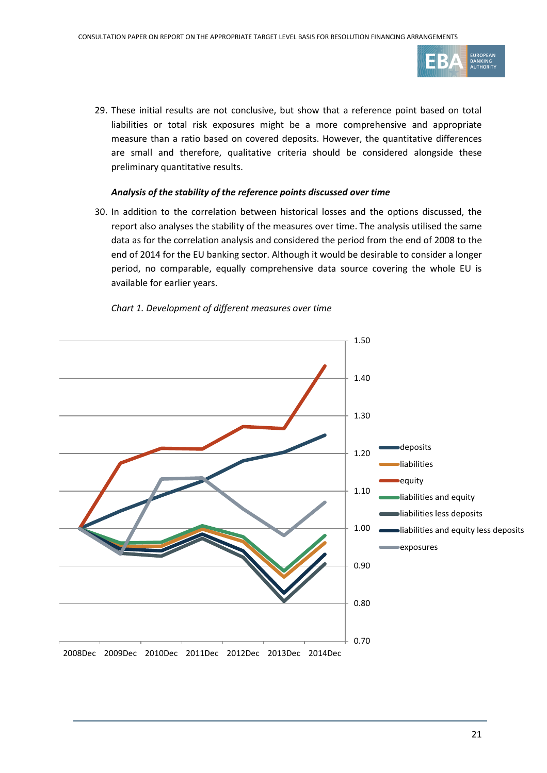

29. These initial results are not conclusive, but show that a reference point based on total liabilities or total risk exposures might be a more comprehensive and appropriate measure than a ratio based on covered deposits. However, the quantitative differences are small and therefore, qualitative criteria should be considered alongside these preliminary quantitative results.

#### *Analysis of the stability of the reference points discussed over time*

30. In addition to the correlation between historical losses and the options discussed, the report also analyses the stability of the measures over time. The analysis utilised the same data as for the correlation analysis and considered the period from the end of 2008 to the end of 2014 for the EU banking sector. Although it would be desirable to consider a longer period, no comparable, equally comprehensive data source covering the whole EU is available for earlier years.

*Chart 1. Development of different measures over time*

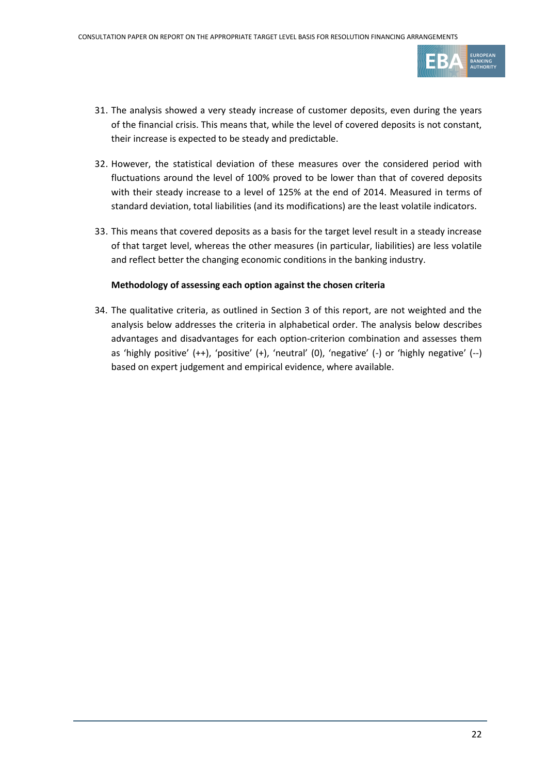

- 31. The analysis showed a very steady increase of customer deposits, even during the years of the financial crisis. This means that, while the level of covered deposits is not constant, their increase is expected to be steady and predictable.
- 32. However, the statistical deviation of these measures over the considered period with fluctuations around the level of 100% proved to be lower than that of covered deposits with their steady increase to a level of 125% at the end of 2014. Measured in terms of standard deviation, total liabilities (and its modifications) are the least volatile indicators.
- 33. This means that covered deposits as a basis for the target level result in a steady increase of that target level, whereas the other measures (in particular, liabilities) are less volatile and reflect better the changing economic conditions in the banking industry.

#### **Methodology of assessing each option against the chosen criteria**

34. The qualitative criteria, as outlined in Section 3 of this report, are not weighted and the analysis below addresses the criteria in alphabetical order. The analysis below describes advantages and disadvantages for each option-criterion combination and assesses them as 'highly positive' (++), 'positive' (+), 'neutral' (0), 'negative' (-) or 'highly negative' (--) based on expert judgement and empirical evidence, where available.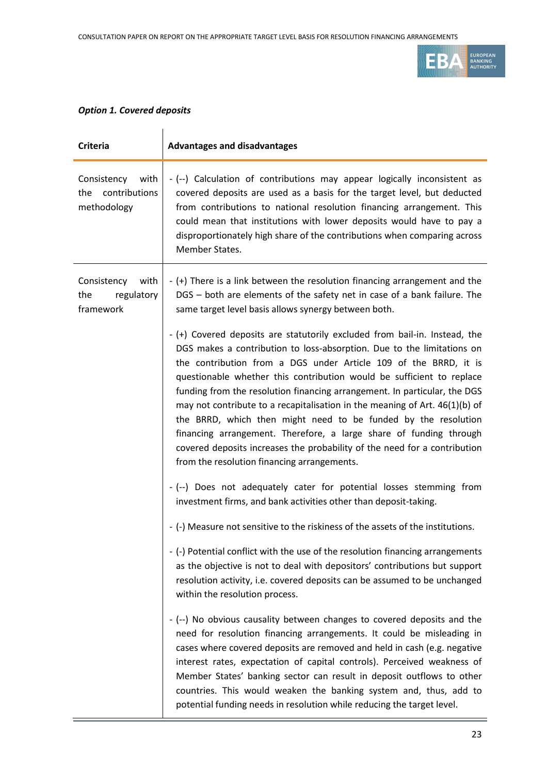

### *Option 1. Covered deposits*

| <b>Criteria</b>                                            | <b>Advantages and disadvantages</b>                                                                                                                                                                                                                                                                                                                                                                                                                                                                                                                                                                                                                                                                                               |
|------------------------------------------------------------|-----------------------------------------------------------------------------------------------------------------------------------------------------------------------------------------------------------------------------------------------------------------------------------------------------------------------------------------------------------------------------------------------------------------------------------------------------------------------------------------------------------------------------------------------------------------------------------------------------------------------------------------------------------------------------------------------------------------------------------|
| Consistency<br>with<br>contributions<br>the<br>methodology | - (--) Calculation of contributions may appear logically inconsistent as<br>covered deposits are used as a basis for the target level, but deducted<br>from contributions to national resolution financing arrangement. This<br>could mean that institutions with lower deposits would have to pay a<br>disproportionately high share of the contributions when comparing across<br>Member States.                                                                                                                                                                                                                                                                                                                                |
| with<br>Consistency<br>the<br>regulatory<br>framework      | - (+) There is a link between the resolution financing arrangement and the<br>DGS - both are elements of the safety net in case of a bank failure. The<br>same target level basis allows synergy between both.                                                                                                                                                                                                                                                                                                                                                                                                                                                                                                                    |
|                                                            | - (+) Covered deposits are statutorily excluded from bail-in. Instead, the<br>DGS makes a contribution to loss-absorption. Due to the limitations on<br>the contribution from a DGS under Article 109 of the BRRD, it is<br>questionable whether this contribution would be sufficient to replace<br>funding from the resolution financing arrangement. In particular, the DGS<br>may not contribute to a recapitalisation in the meaning of Art. 46(1)(b) of<br>the BRRD, which then might need to be funded by the resolution<br>financing arrangement. Therefore, a large share of funding through<br>covered deposits increases the probability of the need for a contribution<br>from the resolution financing arrangements. |
|                                                            | - (--) Does not adequately cater for potential losses stemming from<br>investment firms, and bank activities other than deposit-taking.                                                                                                                                                                                                                                                                                                                                                                                                                                                                                                                                                                                           |
|                                                            | - (-) Measure not sensitive to the riskiness of the assets of the institutions.                                                                                                                                                                                                                                                                                                                                                                                                                                                                                                                                                                                                                                                   |
|                                                            | - (-) Potential conflict with the use of the resolution financing arrangements<br>as the objective is not to deal with depositors' contributions but support<br>resolution activity, i.e. covered deposits can be assumed to be unchanged<br>within the resolution process.                                                                                                                                                                                                                                                                                                                                                                                                                                                       |
|                                                            | - (--) No obvious causality between changes to covered deposits and the<br>need for resolution financing arrangements. It could be misleading in<br>cases where covered deposits are removed and held in cash (e.g. negative<br>interest rates, expectation of capital controls). Perceived weakness of<br>Member States' banking sector can result in deposit outflows to other<br>countries. This would weaken the banking system and, thus, add to<br>potential funding needs in resolution while reducing the target level.                                                                                                                                                                                                   |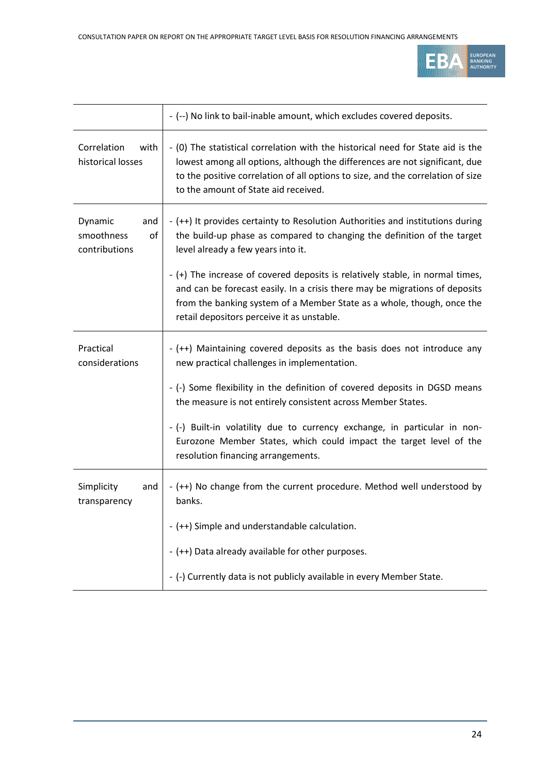

|                                                     | - (--) No link to bail-inable amount, which excludes covered deposits.                                                                                                                                                                                                                    |
|-----------------------------------------------------|-------------------------------------------------------------------------------------------------------------------------------------------------------------------------------------------------------------------------------------------------------------------------------------------|
| Correlation<br>with<br>historical losses            | - (0) The statistical correlation with the historical need for State aid is the<br>lowest among all options, although the differences are not significant, due<br>to the positive correlation of all options to size, and the correlation of size<br>to the amount of State aid received. |
| Dynamic<br>and<br>smoothness<br>of<br>contributions | - (++) It provides certainty to Resolution Authorities and institutions during<br>the build-up phase as compared to changing the definition of the target<br>level already a few years into it.                                                                                           |
|                                                     | - (+) The increase of covered deposits is relatively stable, in normal times,<br>and can be forecast easily. In a crisis there may be migrations of deposits<br>from the banking system of a Member State as a whole, though, once the<br>retail depositors perceive it as unstable.      |
| Practical<br>considerations                         | $-$ (++) Maintaining covered deposits as the basis does not introduce any<br>new practical challenges in implementation.                                                                                                                                                                  |
|                                                     | - (-) Some flexibility in the definition of covered deposits in DGSD means<br>the measure is not entirely consistent across Member States.                                                                                                                                                |
|                                                     | - (-) Built-in volatility due to currency exchange, in particular in non-<br>Eurozone Member States, which could impact the target level of the<br>resolution financing arrangements.                                                                                                     |
| Simplicity<br>and<br>transparency                   | - (++) No change from the current procedure. Method well understood by<br>banks.                                                                                                                                                                                                          |
|                                                     | - (++) Simple and understandable calculation.                                                                                                                                                                                                                                             |
|                                                     | - (++) Data already available for other purposes.                                                                                                                                                                                                                                         |
|                                                     | - (-) Currently data is not publicly available in every Member State.                                                                                                                                                                                                                     |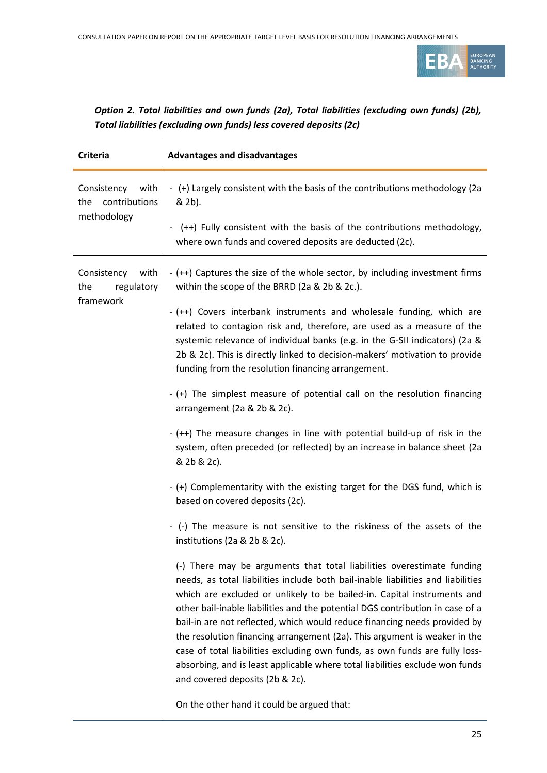

### *Option 2. Total liabilities and own funds (2a), Total liabilities (excluding own funds) (2b), Total liabilities (excluding own funds) less covered deposits (2c)*

| <b>Criteria</b>                                            | <b>Advantages and disadvantages</b>                                                                                                                                                                                                                                                                                                                                                                                                                                                                                                                                                                                                                                                |
|------------------------------------------------------------|------------------------------------------------------------------------------------------------------------------------------------------------------------------------------------------------------------------------------------------------------------------------------------------------------------------------------------------------------------------------------------------------------------------------------------------------------------------------------------------------------------------------------------------------------------------------------------------------------------------------------------------------------------------------------------|
| Consistency<br>with<br>contributions<br>the<br>methodology | - (+) Largely consistent with the basis of the contributions methodology (2a<br>& 2b).<br>- (++) Fully consistent with the basis of the contributions methodology,                                                                                                                                                                                                                                                                                                                                                                                                                                                                                                                 |
|                                                            | where own funds and covered deposits are deducted (2c).                                                                                                                                                                                                                                                                                                                                                                                                                                                                                                                                                                                                                            |
| Consistency<br>with<br>the<br>regulatory                   | - (++) Captures the size of the whole sector, by including investment firms<br>within the scope of the BRRD (2a & 2b & 2c.).                                                                                                                                                                                                                                                                                                                                                                                                                                                                                                                                                       |
| framework                                                  | - (++) Covers interbank instruments and wholesale funding, which are<br>related to contagion risk and, therefore, are used as a measure of the<br>systemic relevance of individual banks (e.g. in the G-SII indicators) (2a &<br>2b & 2c). This is directly linked to decision-makers' motivation to provide<br>funding from the resolution financing arrangement.                                                                                                                                                                                                                                                                                                                 |
|                                                            | - (+) The simplest measure of potential call on the resolution financing<br>arrangement (2a & 2b & 2c).                                                                                                                                                                                                                                                                                                                                                                                                                                                                                                                                                                            |
|                                                            | - (++) The measure changes in line with potential build-up of risk in the<br>system, often preceded (or reflected) by an increase in balance sheet (2a<br>& 2b & 2c).                                                                                                                                                                                                                                                                                                                                                                                                                                                                                                              |
|                                                            | - (+) Complementarity with the existing target for the DGS fund, which is<br>based on covered deposits (2c).                                                                                                                                                                                                                                                                                                                                                                                                                                                                                                                                                                       |
|                                                            | (-) The measure is not sensitive to the riskiness of the assets of the<br>institutions (2a & 2b & 2c).                                                                                                                                                                                                                                                                                                                                                                                                                                                                                                                                                                             |
|                                                            | (-) There may be arguments that total liabilities overestimate funding<br>needs, as total liabilities include both bail-inable liabilities and liabilities<br>which are excluded or unlikely to be bailed-in. Capital instruments and<br>other bail-inable liabilities and the potential DGS contribution in case of a<br>bail-in are not reflected, which would reduce financing needs provided by<br>the resolution financing arrangement (2a). This argument is weaker in the<br>case of total liabilities excluding own funds, as own funds are fully loss-<br>absorbing, and is least applicable where total liabilities exclude won funds<br>and covered deposits (2b & 2c). |
|                                                            | On the other hand it could be argued that:                                                                                                                                                                                                                                                                                                                                                                                                                                                                                                                                                                                                                                         |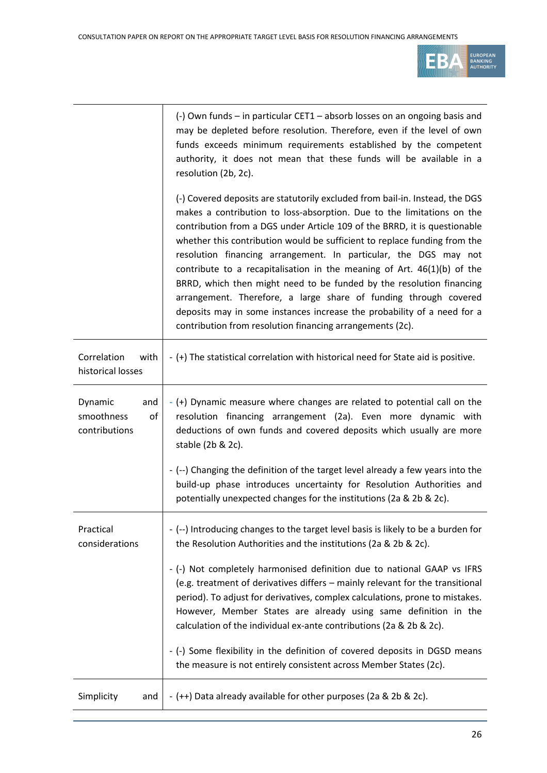

|                                                     | (-) Own funds – in particular CET1 – absorb losses on an ongoing basis and<br>may be depleted before resolution. Therefore, even if the level of own<br>funds exceeds minimum requirements established by the competent<br>authority, it does not mean that these funds will be available in a<br>resolution (2b, 2c).                                                                                                                                                                                                                                                                                                                                                                                                                                |
|-----------------------------------------------------|-------------------------------------------------------------------------------------------------------------------------------------------------------------------------------------------------------------------------------------------------------------------------------------------------------------------------------------------------------------------------------------------------------------------------------------------------------------------------------------------------------------------------------------------------------------------------------------------------------------------------------------------------------------------------------------------------------------------------------------------------------|
|                                                     | (-) Covered deposits are statutorily excluded from bail-in. Instead, the DGS<br>makes a contribution to loss-absorption. Due to the limitations on the<br>contribution from a DGS under Article 109 of the BRRD, it is questionable<br>whether this contribution would be sufficient to replace funding from the<br>resolution financing arrangement. In particular, the DGS may not<br>contribute to a recapitalisation in the meaning of Art. $46(1)(b)$ of the<br>BRRD, which then might need to be funded by the resolution financing<br>arrangement. Therefore, a large share of funding through covered<br>deposits may in some instances increase the probability of a need for a<br>contribution from resolution financing arrangements (2c). |
| Correlation<br>with<br>historical losses            | - (+) The statistical correlation with historical need for State aid is positive.                                                                                                                                                                                                                                                                                                                                                                                                                                                                                                                                                                                                                                                                     |
| Dynamic<br>and<br>of<br>smoothness<br>contributions | - (+) Dynamic measure where changes are related to potential call on the<br>resolution financing arrangement (2a). Even more dynamic with<br>deductions of own funds and covered deposits which usually are more<br>stable (2b & 2c).                                                                                                                                                                                                                                                                                                                                                                                                                                                                                                                 |
|                                                     | - (--) Changing the definition of the target level already a few years into the<br>build-up phase introduces uncertainty for Resolution Authorities and<br>potentially unexpected changes for the institutions (2a & 2b & 2c).                                                                                                                                                                                                                                                                                                                                                                                                                                                                                                                        |
| Practical<br>considerations                         | - (--) Introducing changes to the target level basis is likely to be a burden for<br>the Resolution Authorities and the institutions (2a & 2b & 2c).                                                                                                                                                                                                                                                                                                                                                                                                                                                                                                                                                                                                  |
|                                                     | - (-) Not completely harmonised definition due to national GAAP vs IFRS<br>(e.g. treatment of derivatives differs – mainly relevant for the transitional<br>period). To adjust for derivatives, complex calculations, prone to mistakes.<br>However, Member States are already using same definition in the<br>calculation of the individual ex-ante contributions (2a & 2b & 2c).                                                                                                                                                                                                                                                                                                                                                                    |
|                                                     | - (-) Some flexibility in the definition of covered deposits in DGSD means<br>the measure is not entirely consistent across Member States (2c).                                                                                                                                                                                                                                                                                                                                                                                                                                                                                                                                                                                                       |
| Simplicity<br>and                                   | - (++) Data already available for other purposes (2a & 2b & 2c).                                                                                                                                                                                                                                                                                                                                                                                                                                                                                                                                                                                                                                                                                      |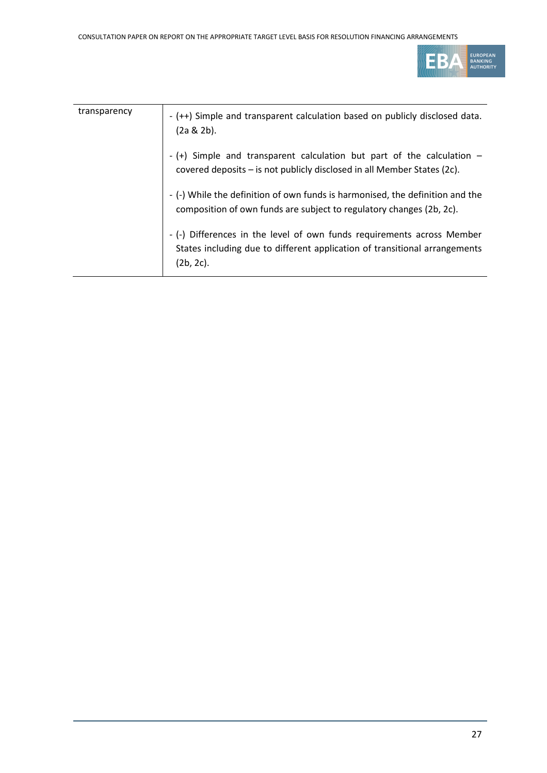

| transparency | - (++) Simple and transparent calculation based on publicly disclosed data.<br>$(2a & 2b)$ .                                                                         |
|--------------|----------------------------------------------------------------------------------------------------------------------------------------------------------------------|
|              | - $(+)$ Simple and transparent calculation but part of the calculation $-$<br>covered deposits - is not publicly disclosed in all Member States (2c).                |
|              | - (-) While the definition of own funds is harmonised, the definition and the<br>composition of own funds are subject to regulatory changes (2b, 2c).                |
|              | - (-) Differences in the level of own funds requirements across Member<br>States including due to different application of transitional arrangements<br>$(2b, 2c)$ . |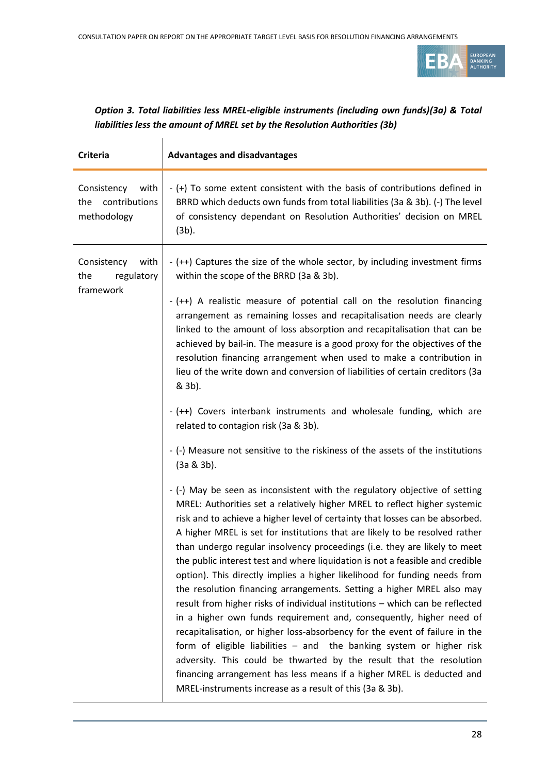

| Option 3. Total liabilities less MREL-eligible instruments (including own funds)(3a) & Total |
|----------------------------------------------------------------------------------------------|
| liabilities less the amount of MREL set by the Resolution Authorities (3b)                   |

| <b>Criteria</b>                                            | <b>Advantages and disadvantages</b>                                                                                                                                                                                                                                                                                                                                                                                                                                                                                                                                                                                                                                                                                                                                                                                                                                                                                                                                                                                                                                                                                                                                    |
|------------------------------------------------------------|------------------------------------------------------------------------------------------------------------------------------------------------------------------------------------------------------------------------------------------------------------------------------------------------------------------------------------------------------------------------------------------------------------------------------------------------------------------------------------------------------------------------------------------------------------------------------------------------------------------------------------------------------------------------------------------------------------------------------------------------------------------------------------------------------------------------------------------------------------------------------------------------------------------------------------------------------------------------------------------------------------------------------------------------------------------------------------------------------------------------------------------------------------------------|
| Consistency<br>with<br>contributions<br>the<br>methodology | - (+) To some extent consistent with the basis of contributions defined in<br>BRRD which deducts own funds from total liabilities (3a & 3b). (-) The level<br>of consistency dependant on Resolution Authorities' decision on MREL<br>$(3b)$ .                                                                                                                                                                                                                                                                                                                                                                                                                                                                                                                                                                                                                                                                                                                                                                                                                                                                                                                         |
| Consistency<br>with<br>regulatory<br>the<br>framework      | - (++) Captures the size of the whole sector, by including investment firms<br>within the scope of the BRRD (3a & 3b).<br>- (++) A realistic measure of potential call on the resolution financing<br>arrangement as remaining losses and recapitalisation needs are clearly<br>linked to the amount of loss absorption and recapitalisation that can be<br>achieved by bail-in. The measure is a good proxy for the objectives of the<br>resolution financing arrangement when used to make a contribution in<br>lieu of the write down and conversion of liabilities of certain creditors (3a<br>& 3b).<br>- (++) Covers interbank instruments and wholesale funding, which are<br>related to contagion risk (3a & 3b).<br>- (-) Measure not sensitive to the riskiness of the assets of the institutions<br>$(3a & 3b)$ .                                                                                                                                                                                                                                                                                                                                           |
|                                                            | - (-) May be seen as inconsistent with the regulatory objective of setting<br>MREL: Authorities set a relatively higher MREL to reflect higher systemic<br>risk and to achieve a higher level of certainty that losses can be absorbed.<br>A higher MREL is set for institutions that are likely to be resolved rather<br>than undergo regular insolvency proceedings (i.e. they are likely to meet<br>the public interest test and where liquidation is not a feasible and credible<br>option). This directly implies a higher likelihood for funding needs from<br>the resolution financing arrangements. Setting a higher MREL also may<br>result from higher risks of individual institutions - which can be reflected<br>in a higher own funds requirement and, consequently, higher need of<br>recapitalisation, or higher loss-absorbency for the event of failure in the<br>form of eligible liabilities $-$ and the banking system or higher risk<br>adversity. This could be thwarted by the result that the resolution<br>financing arrangement has less means if a higher MREL is deducted and<br>MREL-instruments increase as a result of this (3a & 3b). |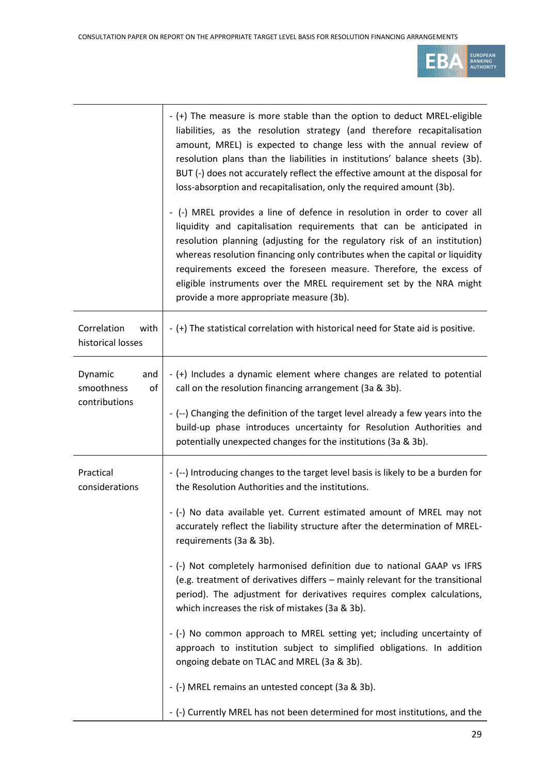

|                                                     | - (+) The measure is more stable than the option to deduct MREL-eligible<br>liabilities, as the resolution strategy (and therefore recapitalisation<br>amount, MREL) is expected to change less with the annual review of<br>resolution plans than the liabilities in institutions' balance sheets (3b).<br>BUT (-) does not accurately reflect the effective amount at the disposal for<br>loss-absorption and recapitalisation, only the required amount (3b).                                       |
|-----------------------------------------------------|--------------------------------------------------------------------------------------------------------------------------------------------------------------------------------------------------------------------------------------------------------------------------------------------------------------------------------------------------------------------------------------------------------------------------------------------------------------------------------------------------------|
|                                                     | - (-) MREL provides a line of defence in resolution in order to cover all<br>liquidity and capitalisation requirements that can be anticipated in<br>resolution planning (adjusting for the regulatory risk of an institution)<br>whereas resolution financing only contributes when the capital or liquidity<br>requirements exceed the foreseen measure. Therefore, the excess of<br>eligible instruments over the MREL requirement set by the NRA might<br>provide a more appropriate measure (3b). |
| Correlation<br>with<br>historical losses            | - (+) The statistical correlation with historical need for State aid is positive.                                                                                                                                                                                                                                                                                                                                                                                                                      |
| Dynamic<br>and<br>smoothness<br>of<br>contributions | - (+) Includes a dynamic element where changes are related to potential<br>call on the resolution financing arrangement (3a & 3b).                                                                                                                                                                                                                                                                                                                                                                     |
|                                                     | - (--) Changing the definition of the target level already a few years into the<br>build-up phase introduces uncertainty for Resolution Authorities and<br>potentially unexpected changes for the institutions (3a & 3b).                                                                                                                                                                                                                                                                              |
| Practical<br>considerations                         | - (--) Introducing changes to the target level basis is likely to be a burden for<br>the Resolution Authorities and the institutions.                                                                                                                                                                                                                                                                                                                                                                  |
|                                                     | - (-) No data available yet. Current estimated amount of MREL may not<br>accurately reflect the liability structure after the determination of MREL-<br>requirements (3a & 3b).                                                                                                                                                                                                                                                                                                                        |
|                                                     | - (-) Not completely harmonised definition due to national GAAP vs IFRS<br>(e.g. treatment of derivatives differs - mainly relevant for the transitional<br>period). The adjustment for derivatives requires complex calculations,<br>which increases the risk of mistakes (3a & 3b).                                                                                                                                                                                                                  |
|                                                     | - (-) No common approach to MREL setting yet; including uncertainty of<br>approach to institution subject to simplified obligations. In addition<br>ongoing debate on TLAC and MREL (3a & 3b).                                                                                                                                                                                                                                                                                                         |
|                                                     | - (-) MREL remains an untested concept (3a & 3b).                                                                                                                                                                                                                                                                                                                                                                                                                                                      |
|                                                     | - (-) Currently MREL has not been determined for most institutions, and the                                                                                                                                                                                                                                                                                                                                                                                                                            |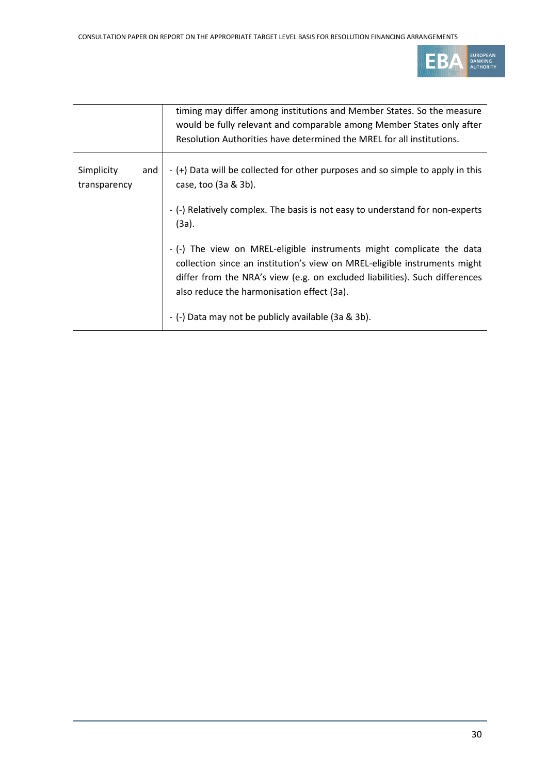

|                            |     | timing may differ among institutions and Member States. So the measure<br>would be fully relevant and comparable among Member States only after<br>Resolution Authorities have determined the MREL for all institutions.                                                        |
|----------------------------|-----|---------------------------------------------------------------------------------------------------------------------------------------------------------------------------------------------------------------------------------------------------------------------------------|
|                            |     |                                                                                                                                                                                                                                                                                 |
| Simplicity<br>transparency | and | - (+) Data will be collected for other purposes and so simple to apply in this<br>case, too (3a & 3b).                                                                                                                                                                          |
|                            |     | - (-) Relatively complex. The basis is not easy to understand for non-experts<br>$(3a)$ .                                                                                                                                                                                       |
|                            |     | - (-) The view on MREL-eligible instruments might complicate the data<br>collection since an institution's view on MREL-eligible instruments might<br>differ from the NRA's view (e.g. on excluded liabilities). Such differences<br>also reduce the harmonisation effect (3a). |
|                            |     | - (-) Data may not be publicly available (3a & 3b).                                                                                                                                                                                                                             |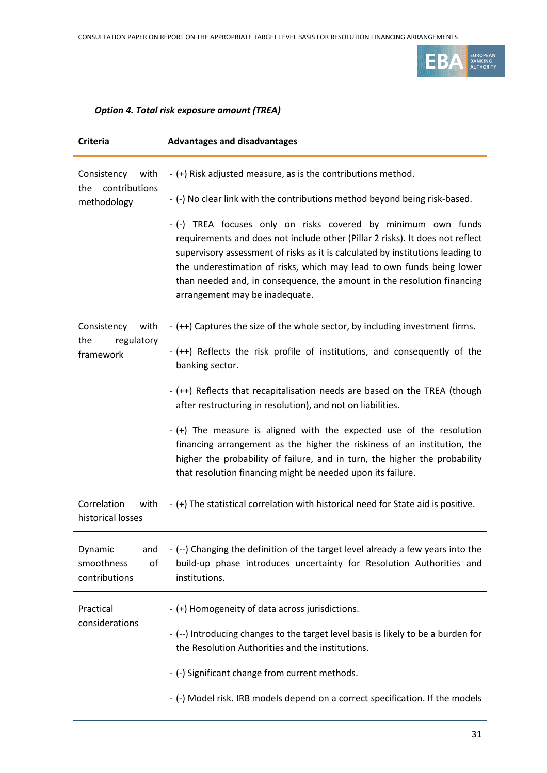

### *Option 4. Total risk exposure amount (TREA)*

| <b>Criteria</b>                                            | <b>Advantages and disadvantages</b>                                                                                                                                                                                                                                                                                                                                                                                                                                                                                                                                                                                       |
|------------------------------------------------------------|---------------------------------------------------------------------------------------------------------------------------------------------------------------------------------------------------------------------------------------------------------------------------------------------------------------------------------------------------------------------------------------------------------------------------------------------------------------------------------------------------------------------------------------------------------------------------------------------------------------------------|
| Consistency<br>with<br>contributions<br>the<br>methodology | - (+) Risk adjusted measure, as is the contributions method.<br>- (-) No clear link with the contributions method beyond being risk-based.<br>- (-) TREA focuses only on risks covered by minimum own funds<br>requirements and does not include other (Pillar 2 risks). It does not reflect<br>supervisory assessment of risks as it is calculated by institutions leading to<br>the underestimation of risks, which may lead to own funds being lower<br>than needed and, in consequence, the amount in the resolution financing<br>arrangement may be inadequate.                                                      |
| Consistency<br>with<br>regulatory<br>the<br>framework      | - (++) Captures the size of the whole sector, by including investment firms.<br>- (++) Reflects the risk profile of institutions, and consequently of the<br>banking sector.<br>- (++) Reflects that recapitalisation needs are based on the TREA (though<br>after restructuring in resolution), and not on liabilities.<br>- (+) The measure is aligned with the expected use of the resolution<br>financing arrangement as the higher the riskiness of an institution, the<br>higher the probability of failure, and in turn, the higher the probability<br>that resolution financing might be needed upon its failure. |
| Correlation<br>with<br>historical losses                   | - (+) The statistical correlation with historical need for State aid is positive.                                                                                                                                                                                                                                                                                                                                                                                                                                                                                                                                         |
| Dynamic<br>and<br>smoothness<br>of<br>contributions        | - (--) Changing the definition of the target level already a few years into the<br>build-up phase introduces uncertainty for Resolution Authorities and<br>institutions.                                                                                                                                                                                                                                                                                                                                                                                                                                                  |
| Practical<br>considerations                                | - (+) Homogeneity of data across jurisdictions.<br>- (--) Introducing changes to the target level basis is likely to be a burden for<br>the Resolution Authorities and the institutions.<br>- (-) Significant change from current methods.<br>- (-) Model risk. IRB models depend on a correct specification. If the models                                                                                                                                                                                                                                                                                               |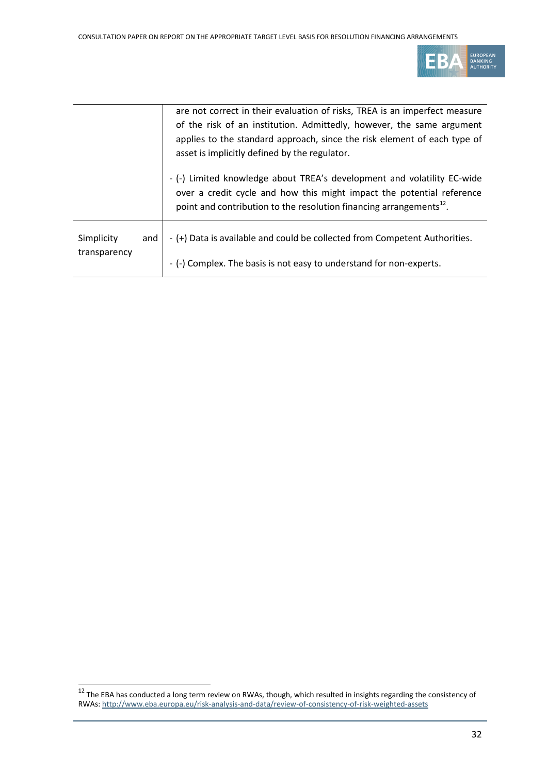

|                            |     | are not correct in their evaluation of risks, TREA is an imperfect measure<br>of the risk of an institution. Admittedly, however, the same argument<br>applies to the standard approach, since the risk element of each type of<br>asset is implicitly defined by the regulator. |  |  |  |
|----------------------------|-----|----------------------------------------------------------------------------------------------------------------------------------------------------------------------------------------------------------------------------------------------------------------------------------|--|--|--|
|                            |     | - (-) Limited knowledge about TREA's development and volatility EC-wide<br>over a credit cycle and how this might impact the potential reference<br>point and contribution to the resolution financing arrangements <sup>12</sup> .                                              |  |  |  |
| Simplicity<br>transparency | and | - (+) Data is available and could be collected from Competent Authorities.                                                                                                                                                                                                       |  |  |  |
|                            |     | - (-) Complex. The basis is not easy to understand for non-experts.                                                                                                                                                                                                              |  |  |  |

 <sup>12</sup> The EBA has conducted a long term review on RWAs, though, which resulted in insights regarding the consistency of RWAs[: http://www.eba.europa.eu/risk-analysis-and-data/review-of-consistency-of-risk-weighted-assets](http://www.eba.europa.eu/risk-analysis-and-data/review-of-consistency-of-risk-weighted-assets)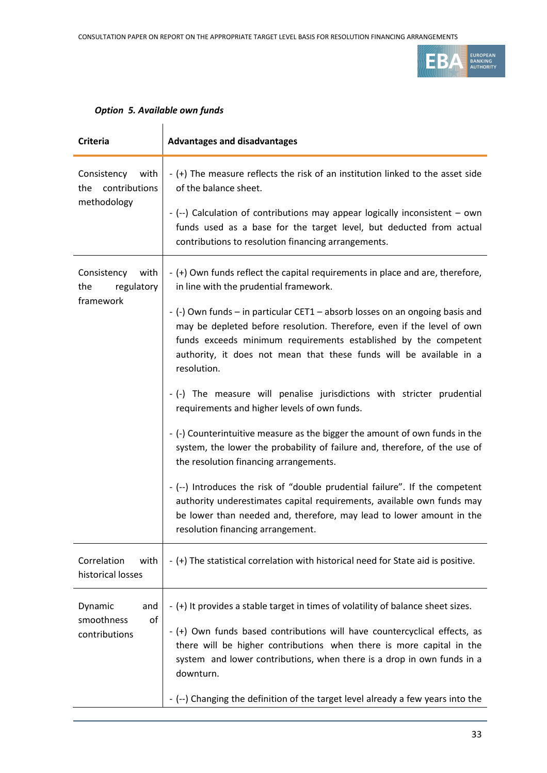

| <b>Criteria</b>                                            | <b>Advantages and disadvantages</b>                                                                                                                                                                                                                                                                                                                                                                                                                                                                                                                                                                                                                                                                                                                                                                                                                                                                                                                                                                                                               |  |  |  |  |
|------------------------------------------------------------|---------------------------------------------------------------------------------------------------------------------------------------------------------------------------------------------------------------------------------------------------------------------------------------------------------------------------------------------------------------------------------------------------------------------------------------------------------------------------------------------------------------------------------------------------------------------------------------------------------------------------------------------------------------------------------------------------------------------------------------------------------------------------------------------------------------------------------------------------------------------------------------------------------------------------------------------------------------------------------------------------------------------------------------------------|--|--|--|--|
| Consistency<br>with<br>contributions<br>the<br>methodology | - (+) The measure reflects the risk of an institution linked to the asset side<br>of the balance sheet.<br>- (--) Calculation of contributions may appear logically inconsistent - own<br>funds used as a base for the target level, but deducted from actual<br>contributions to resolution financing arrangements.                                                                                                                                                                                                                                                                                                                                                                                                                                                                                                                                                                                                                                                                                                                              |  |  |  |  |
| with<br>Consistency<br>the<br>regulatory<br>framework      | - (+) Own funds reflect the capital requirements in place and are, therefore,<br>in line with the prudential framework.<br>- (-) Own funds – in particular CET1 – absorb losses on an ongoing basis and<br>may be depleted before resolution. Therefore, even if the level of own<br>funds exceeds minimum requirements established by the competent<br>authority, it does not mean that these funds will be available in a<br>resolution.<br>- (-) The measure will penalise jurisdictions with stricter prudential<br>requirements and higher levels of own funds.<br>- (-) Counterintuitive measure as the bigger the amount of own funds in the<br>system, the lower the probability of failure and, therefore, of the use of<br>the resolution financing arrangements.<br>- (--) Introduces the risk of "double prudential failure". If the competent<br>authority underestimates capital requirements, available own funds may<br>be lower than needed and, therefore, may lead to lower amount in the<br>resolution financing arrangement. |  |  |  |  |
| Correlation<br>with<br>historical losses                   | - (+) The statistical correlation with historical need for State aid is positive.                                                                                                                                                                                                                                                                                                                                                                                                                                                                                                                                                                                                                                                                                                                                                                                                                                                                                                                                                                 |  |  |  |  |
| Dynamic<br>and<br>smoothness<br>of<br>contributions        | - (+) It provides a stable target in times of volatility of balance sheet sizes.<br>- (+) Own funds based contributions will have countercyclical effects, as<br>there will be higher contributions when there is more capital in the<br>system and lower contributions, when there is a drop in own funds in a<br>downturn.<br>- (--) Changing the definition of the target level already a few years into the                                                                                                                                                                                                                                                                                                                                                                                                                                                                                                                                                                                                                                   |  |  |  |  |

### *Option 5. Available own funds*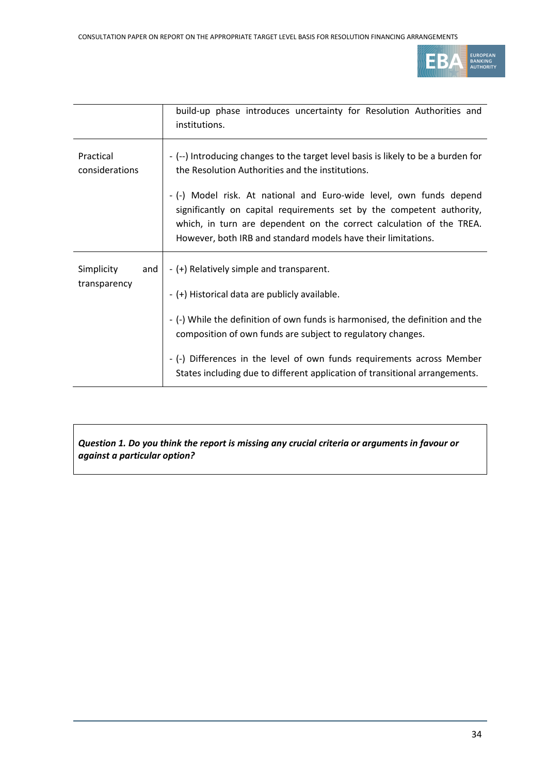

|                             | build-up phase introduces uncertainty for Resolution Authorities and<br>institutions.                                                                                                                                                                                                 |  |  |  |  |
|-----------------------------|---------------------------------------------------------------------------------------------------------------------------------------------------------------------------------------------------------------------------------------------------------------------------------------|--|--|--|--|
| Practical<br>considerations | - (--) Introducing changes to the target level basis is likely to be a burden for<br>the Resolution Authorities and the institutions.                                                                                                                                                 |  |  |  |  |
|                             | - (-) Model risk. At national and Euro-wide level, own funds depend<br>significantly on capital requirements set by the competent authority,<br>which, in turn are dependent on the correct calculation of the TREA.<br>However, both IRB and standard models have their limitations. |  |  |  |  |
| Simplicity<br>and           | - (+) Relatively simple and transparent.                                                                                                                                                                                                                                              |  |  |  |  |
| transparency                | - (+) Historical data are publicly available.                                                                                                                                                                                                                                         |  |  |  |  |
|                             | - (-) While the definition of own funds is harmonised, the definition and the<br>composition of own funds are subject to regulatory changes.                                                                                                                                          |  |  |  |  |
|                             | - (-) Differences in the level of own funds requirements across Member<br>States including due to different application of transitional arrangements.                                                                                                                                 |  |  |  |  |

### *Question 1. Do you think the report is missing any crucial criteria or arguments in favour or against a particular option?*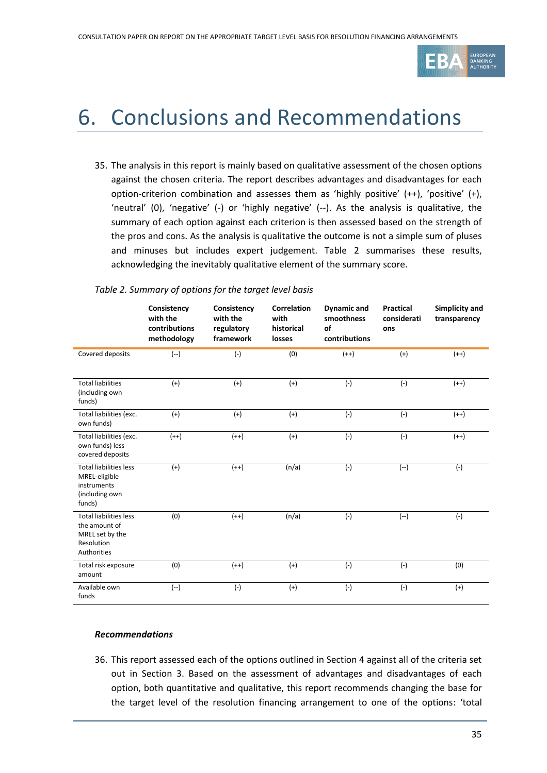

### 6. Conclusions and Recommendations

35. The analysis in this report is mainly based on qualitative assessment of the chosen options against the chosen criteria. The report describes advantages and disadvantages for each option-criterion combination and assesses them as 'highly positive' (++), 'positive' (+), 'neutral' (0), 'negative' (-) or 'highly negative' (--). As the analysis is qualitative, the summary of each option against each criterion is then assessed based on the strength of the pros and cons. As the analysis is qualitative the outcome is not a simple sum of pluses and minuses but includes expert judgement. Table 2 summarises these results, acknowledging the inevitably qualitative element of the summary score.

|                                                                                                | Consistency<br>with the<br>contributions<br>methodology | Consistency<br>with the<br>regulatory<br>framework | <b>Correlation</b><br>with<br>historical<br>losses | <b>Dynamic and</b><br>smoothness<br>of<br>contributions | <b>Practical</b><br>considerati<br>ons | Simplicity and<br>transparency |
|------------------------------------------------------------------------------------------------|---------------------------------------------------------|----------------------------------------------------|----------------------------------------------------|---------------------------------------------------------|----------------------------------------|--------------------------------|
| Covered deposits                                                                               | $(-)$                                                   | $(-)$                                              | (0)                                                | $(++)$                                                  | $(+)$                                  | $(++)$                         |
| <b>Total liabilities</b><br>(including own<br>funds)                                           | $(+)$                                                   | $(+)$                                              | $(+)$                                              | $(-)$                                                   | $(-)$                                  | $(++)$                         |
| Total liabilities (exc.<br>own funds)                                                          | $(+)$                                                   | $(+)$                                              | $(+)$                                              | $(-)$                                                   | $(-)$                                  | $(++)$                         |
| Total liabilities (exc.<br>own funds) less<br>covered deposits                                 | $(++)$                                                  | $(++)$                                             | $(+)$                                              | $(-)$                                                   | $(-)$                                  | $(++)$                         |
| <b>Total liabilities less</b><br>MREL-eligible<br>instruments<br>(including own<br>funds)      | $(+)$                                                   | $(++)$                                             | (n/a)                                              | $(-)$                                                   | $(-)$                                  | $(-)$                          |
| <b>Total liabilities less</b><br>the amount of<br>MREL set by the<br>Resolution<br>Authorities | (0)                                                     | $(++)$                                             | (n/a)                                              | $(-)$                                                   | $(-)$                                  | $(-)$                          |
| Total risk exposure<br>amount                                                                  | (0)                                                     | $(++)$                                             | $(+)$                                              | $(-)$                                                   | $(-)$                                  | (0)                            |
| Available own<br>funds                                                                         | $(--)$                                                  | $(-)$                                              | $(+)$                                              | $(-)$                                                   | $(-)$                                  | $(+)$                          |

#### *Table 2. Summary of options for the target level basis*

#### *Recommendations*

36. This report assessed each of the options outlined in Section 4 against all of the criteria set out in Section 3. Based on the assessment of advantages and disadvantages of each option, both quantitative and qualitative, this report recommends changing the base for the target level of the resolution financing arrangement to one of the options: 'total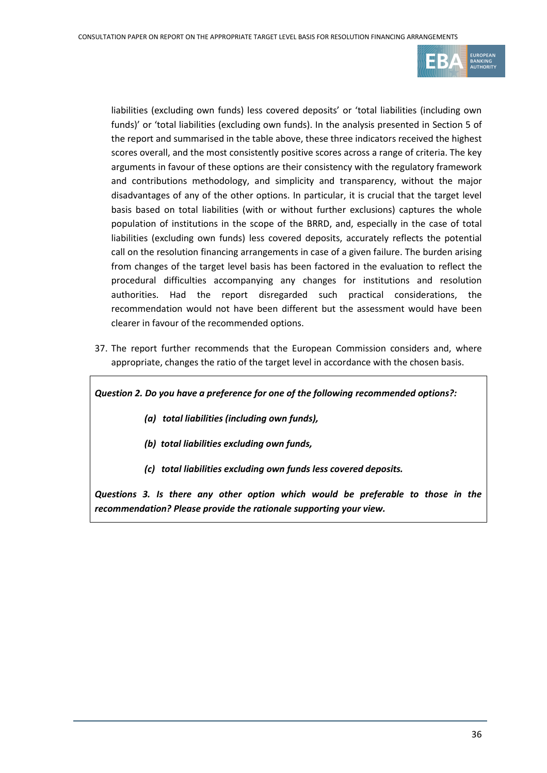

liabilities (excluding own funds) less covered deposits' or 'total liabilities (including own funds)' or 'total liabilities (excluding own funds). In the analysis presented in Section 5 of the report and summarised in the table above, these three indicators received the highest scores overall, and the most consistently positive scores across a range of criteria. The key arguments in favour of these options are their consistency with the regulatory framework and contributions methodology, and simplicity and transparency, without the major disadvantages of any of the other options. In particular, it is crucial that the target level basis based on total liabilities (with or without further exclusions) captures the whole population of institutions in the scope of the BRRD, and, especially in the case of total liabilities (excluding own funds) less covered deposits, accurately reflects the potential call on the resolution financing arrangements in case of a given failure. The burden arising from changes of the target level basis has been factored in the evaluation to reflect the procedural difficulties accompanying any changes for institutions and resolution authorities. Had the report disregarded such practical considerations, the recommendation would not have been different but the assessment would have been clearer in favour of the recommended options.

37. The report further recommends that the European Commission considers and, where appropriate, changes the ratio of the target level in accordance with the chosen basis.

*Question 2. Do you have a preference for one of the following recommended options?:* 

- *(a) total liabilities (including own funds),*
- *(b) total liabilities excluding own funds,*
- *(c) total liabilities excluding own funds less covered deposits.*

*Questions 3. Is there any other option which would be preferable to those in the recommendation? Please provide the rationale supporting your view.*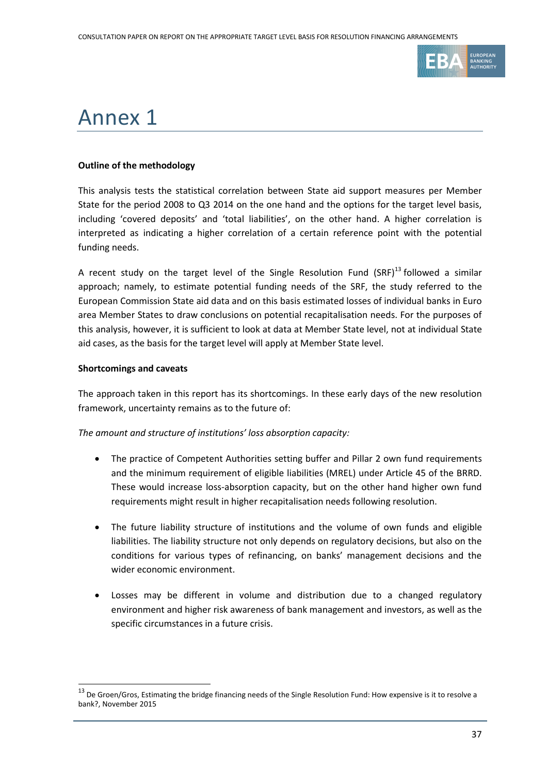

## Annex 1

#### **Outline of the methodology**

This analysis tests the statistical correlation between State aid support measures per Member State for the period 2008 to Q3 2014 on the one hand and the options for the target level basis, including 'covered deposits' and 'total liabilities', on the other hand. A higher correlation is interpreted as indicating a higher correlation of a certain reference point with the potential funding needs.

A recent study on the target level of the Single Resolution Fund  $(SRF)^{13}$  followed a similar approach; namely, to estimate potential funding needs of the SRF, the study referred to the European Commission State aid data and on this basis estimated losses of individual banks in Euro area Member States to draw conclusions on potential recapitalisation needs. For the purposes of this analysis, however, it is sufficient to look at data at Member State level, not at individual State aid cases, as the basis for the target level will apply at Member State level.

#### **Shortcomings and caveats**

1

The approach taken in this report has its shortcomings. In these early days of the new resolution framework, uncertainty remains as to the future of:

*The amount and structure of institutions' loss absorption capacity:*

- The practice of Competent Authorities setting buffer and Pillar 2 own fund requirements and the minimum requirement of eligible liabilities (MREL) under Article 45 of the BRRD. These would increase loss-absorption capacity, but on the other hand higher own fund requirements might result in higher recapitalisation needs following resolution.
- The future liability structure of institutions and the volume of own funds and eligible liabilities. The liability structure not only depends on regulatory decisions, but also on the conditions for various types of refinancing, on banks' management decisions and the wider economic environment.
- Losses may be different in volume and distribution due to a changed regulatory environment and higher risk awareness of bank management and investors, as well as the specific circumstances in a future crisis.

 $13$  De Groen/Gros, Estimating the bridge financing needs of the Single Resolution Fund: How expensive is it to resolve a bank?, November 2015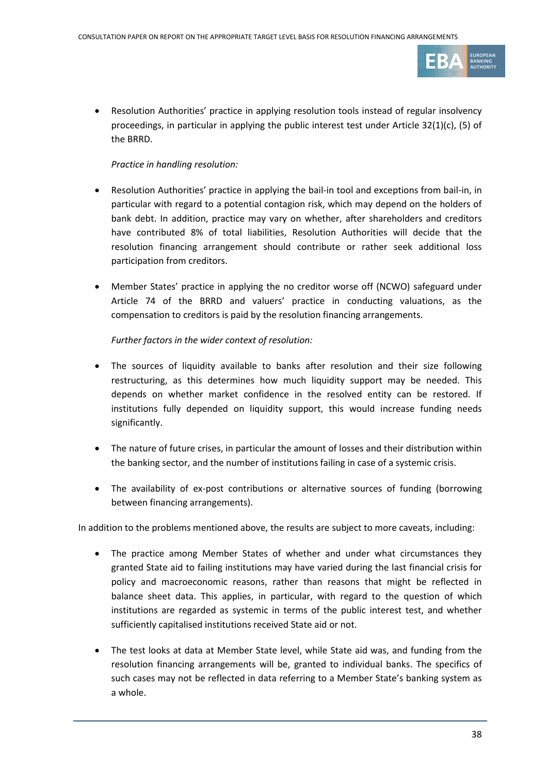

 Resolution Authorities' practice in applying resolution tools instead of regular insolvency proceedings, in particular in applying the public interest test under Article 32(1)(c), (5) of the BRRD.

### *Practice in handling resolution:*

- Resolution Authorities' practice in applying the bail-in tool and exceptions from bail-in, in particular with regard to a potential contagion risk, which may depend on the holders of bank debt. In addition, practice may vary on whether, after shareholders and creditors have contributed 8% of total liabilities, Resolution Authorities will decide that the resolution financing arrangement should contribute or rather seek additional loss participation from creditors.
- Member States' practice in applying the no creditor worse off (NCWO) safeguard under Article 74 of the BRRD and valuers' practice in conducting valuations, as the compensation to creditors is paid by the resolution financing arrangements.

### *Further factors in the wider context of resolution:*

- The sources of liquidity available to banks after resolution and their size following restructuring, as this determines how much liquidity support may be needed. This depends on whether market confidence in the resolved entity can be restored. If institutions fully depended on liquidity support, this would increase funding needs significantly.
- The nature of future crises, in particular the amount of losses and their distribution within the banking sector, and the number of institutions failing in case of a systemic crisis.
- The availability of ex-post contributions or alternative sources of funding (borrowing between financing arrangements).

In addition to the problems mentioned above, the results are subject to more caveats, including:

- The practice among Member States of whether and under what circumstances they granted State aid to failing institutions may have varied during the last financial crisis for policy and macroeconomic reasons, rather than reasons that might be reflected in balance sheet data. This applies, in particular, with regard to the question of which institutions are regarded as systemic in terms of the public interest test, and whether sufficiently capitalised institutions received State aid or not.
- The test looks at data at Member State level, while State aid was, and funding from the resolution financing arrangements will be, granted to individual banks. The specifics of such cases may not be reflected in data referring to a Member State's banking system as a whole.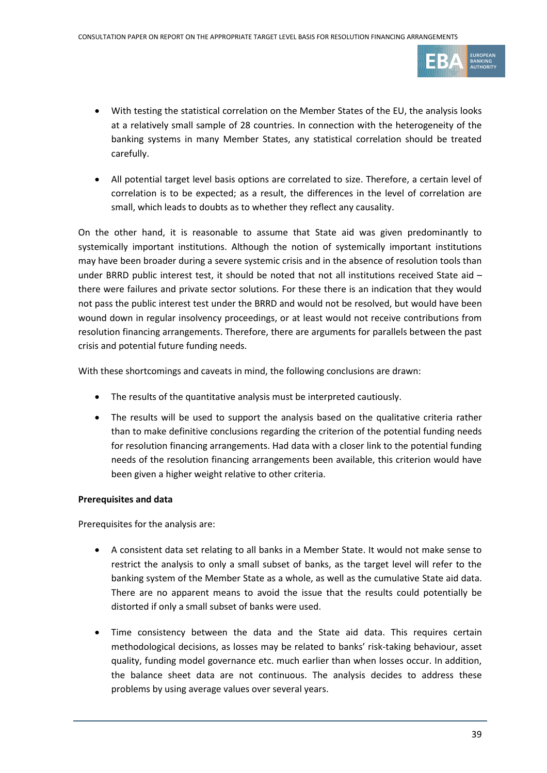

- With testing the statistical correlation on the Member States of the EU, the analysis looks at a relatively small sample of 28 countries. In connection with the heterogeneity of the banking systems in many Member States, any statistical correlation should be treated carefully.
- All potential target level basis options are correlated to size. Therefore, a certain level of correlation is to be expected; as a result, the differences in the level of correlation are small, which leads to doubts as to whether they reflect any causality.

On the other hand, it is reasonable to assume that State aid was given predominantly to systemically important institutions. Although the notion of systemically important institutions may have been broader during a severe systemic crisis and in the absence of resolution tools than under BRRD public interest test, it should be noted that not all institutions received State aid – there were failures and private sector solutions. For these there is an indication that they would not pass the public interest test under the BRRD and would not be resolved, but would have been wound down in regular insolvency proceedings, or at least would not receive contributions from resolution financing arrangements. Therefore, there are arguments for parallels between the past crisis and potential future funding needs.

With these shortcomings and caveats in mind, the following conclusions are drawn:

- The results of the quantitative analysis must be interpreted cautiously.
- The results will be used to support the analysis based on the qualitative criteria rather than to make definitive conclusions regarding the criterion of the potential funding needs for resolution financing arrangements. Had data with a closer link to the potential funding needs of the resolution financing arrangements been available, this criterion would have been given a higher weight relative to other criteria.

#### **Prerequisites and data**

Prerequisites for the analysis are:

- A consistent data set relating to all banks in a Member State. It would not make sense to restrict the analysis to only a small subset of banks, as the target level will refer to the banking system of the Member State as a whole, as well as the cumulative State aid data. There are no apparent means to avoid the issue that the results could potentially be distorted if only a small subset of banks were used.
- Time consistency between the data and the State aid data. This requires certain methodological decisions, as losses may be related to banks' risk-taking behaviour, asset quality, funding model governance etc. much earlier than when losses occur. In addition, the balance sheet data are not continuous. The analysis decides to address these problems by using average values over several years.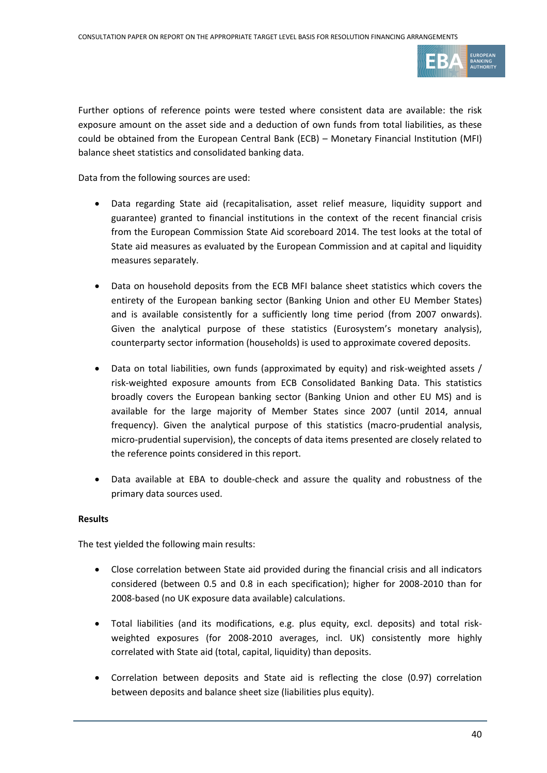

Further options of reference points were tested where consistent data are available: the risk exposure amount on the asset side and a deduction of own funds from total liabilities, as these could be obtained from the European Central Bank (ECB) – Monetary Financial Institution (MFI) balance sheet statistics and consolidated banking data.

Data from the following sources are used:

- Data regarding State aid (recapitalisation, asset relief measure, liquidity support and guarantee) granted to financial institutions in the context of the recent financial crisis from the European Commission State Aid scoreboard 2014. The test looks at the total of State aid measures as evaluated by the European Commission and at capital and liquidity measures separately.
- Data on household deposits from the ECB MFI balance sheet statistics which covers the entirety of the European banking sector (Banking Union and other EU Member States) and is available consistently for a sufficiently long time period (from 2007 onwards). Given the analytical purpose of these statistics (Eurosystem's monetary analysis), counterparty sector information (households) is used to approximate covered deposits.
- Data on total liabilities, own funds (approximated by equity) and risk-weighted assets / risk-weighted exposure amounts from ECB Consolidated Banking Data. This statistics broadly covers the European banking sector (Banking Union and other EU MS) and is available for the large majority of Member States since 2007 (until 2014, annual frequency). Given the analytical purpose of this statistics (macro-prudential analysis, micro-prudential supervision), the concepts of data items presented are closely related to the reference points considered in this report.
- Data available at EBA to double-check and assure the quality and robustness of the primary data sources used.

#### **Results**

The test yielded the following main results:

- Close correlation between State aid provided during the financial crisis and all indicators considered (between 0.5 and 0.8 in each specification); higher for 2008-2010 than for 2008-based (no UK exposure data available) calculations.
- Total liabilities (and its modifications, e.g. plus equity, excl. deposits) and total riskweighted exposures (for 2008-2010 averages, incl. UK) consistently more highly correlated with State aid (total, capital, liquidity) than deposits.
- Correlation between deposits and State aid is reflecting the close (0.97) correlation between deposits and balance sheet size (liabilities plus equity).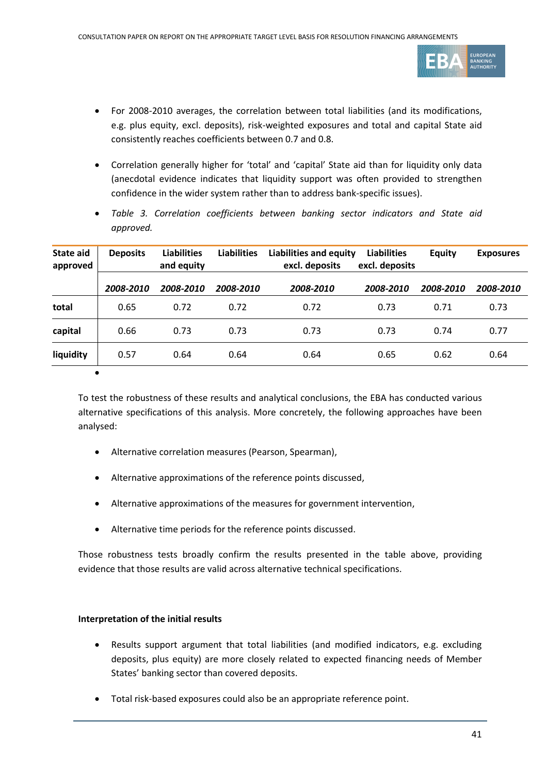

- For 2008-2010 averages, the correlation between total liabilities (and its modifications, e.g. plus equity, excl. deposits), risk-weighted exposures and total and capital State aid consistently reaches coefficients between 0.7 and 0.8.
- Correlation generally higher for 'total' and 'capital' State aid than for liquidity only data (anecdotal evidence indicates that liquidity support was often provided to strengthen confidence in the wider system rather than to address bank-specific issues).
- *Table 3. Correlation coefficients between banking sector indicators and State aid approved.*

| <b>State aid</b><br>approved | <b>Deposits</b> | <b>Liabilities</b><br>and equity | <b>Liabilities</b> | <b>Liabilities and equity</b><br>excl. deposits | <b>Liabilities</b><br>excl. deposits | <b>Equity</b> | <b>Exposures</b> |
|------------------------------|-----------------|----------------------------------|--------------------|-------------------------------------------------|--------------------------------------|---------------|------------------|
|                              | 2008-2010       | 2008-2010                        | 2008-2010          | 2008-2010                                       | 2008-2010                            | 2008-2010     | 2008-2010        |
| total                        | 0.65            | 0.72                             | 0.72               | 0.72                                            | 0.73                                 | 0.71          | 0.73             |
| capital                      | 0.66            | 0.73                             | 0.73               | 0.73                                            | 0.73                                 | 0.74          | 0.77             |
| liquidity                    | 0.57            | 0.64                             | 0.64               | 0.64                                            | 0.65                                 | 0.62          | 0.64             |
| $\bullet$                    |                 |                                  |                    |                                                 |                                      |               |                  |

To test the robustness of these results and analytical conclusions, the EBA has conducted various alternative specifications of this analysis. More concretely, the following approaches have been analysed:

- Alternative correlation measures (Pearson, Spearman),
- Alternative approximations of the reference points discussed,
- Alternative approximations of the measures for government intervention,
- Alternative time periods for the reference points discussed.

Those robustness tests broadly confirm the results presented in the table above, providing evidence that those results are valid across alternative technical specifications.

#### **Interpretation of the initial results**

- Results support argument that total liabilities (and modified indicators, e.g. excluding deposits, plus equity) are more closely related to expected financing needs of Member States' banking sector than covered deposits.
- Total risk-based exposures could also be an appropriate reference point.